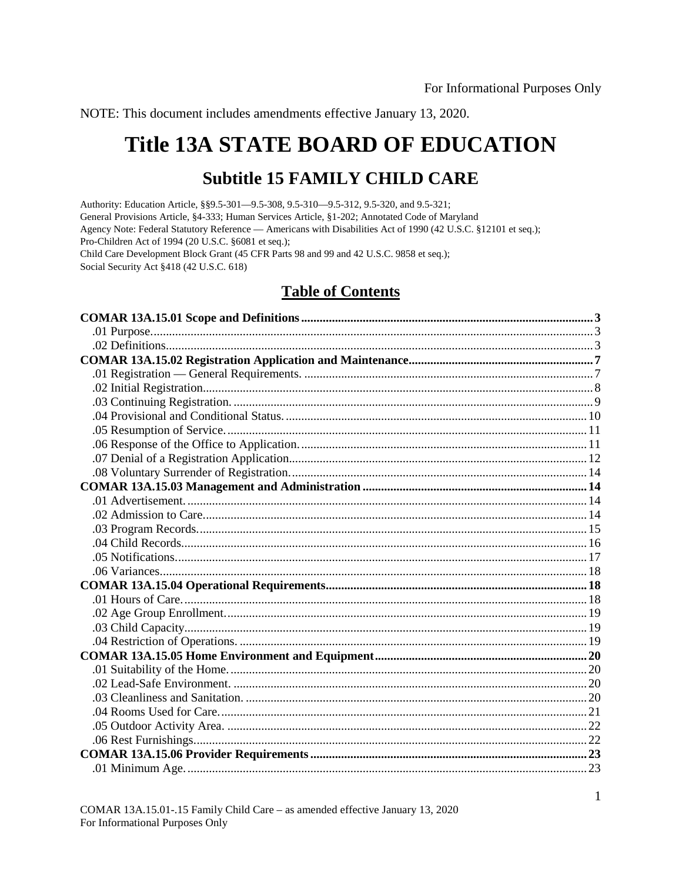NOTE: This document includes amendments effective January 13, 2020.

# **Title 13A STATE BOARD OF EDUCATION**

## **Subtitle 15 FAMILY CHILD CARE**

Authority: Education Article, §§9.5-301-09.5-308, 9.5-310-09.5-312, 9.5-320, and 9.5-321; General Provisions Article, §4-333; Human Services Article, §1-202; Annotated Code of Maryland Agency Note: Federal Statutory Reference — Americans with Disabilities Act of 1990 (42 U.S.C. §12101 et seq.); Pro-Children Act of 1994 (20 U.S.C. §6081 et seq.); Child Care Development Block Grant (45 CFR Parts 98 and 99 and 42 U.S.C. 9858 et seq.); Social Security Act §418 (42 U.S.C. 618)

## **Table of Contents**

| $01$ Minimum Age<br>$\frac{23}{2}$ |  |
|------------------------------------|--|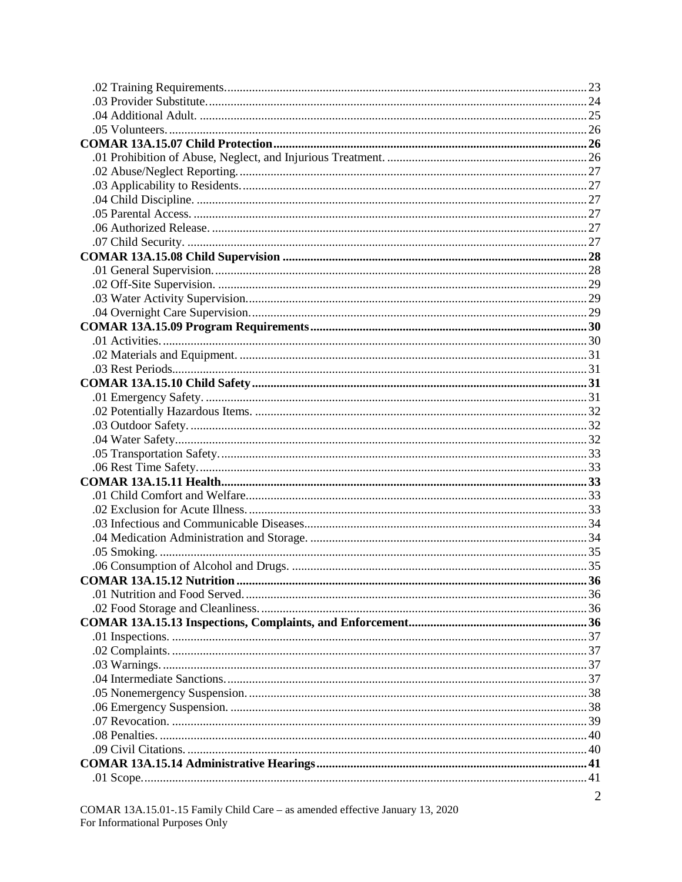| $\overline{2}$ |
|----------------|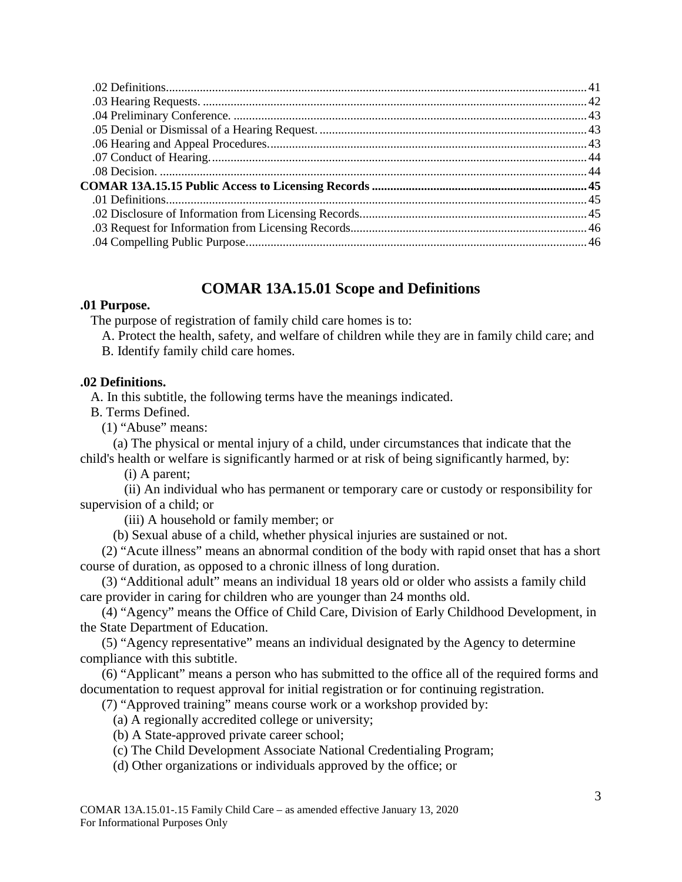## **COMAR 13A.15.01 Scope and Definitions**

## <span id="page-2-1"></span><span id="page-2-0"></span>**.01 Purpose.**

The purpose of registration of family child care homes is to:

A. Protect the health, safety, and welfare of children while they are in family child care; and B. Identify family child care homes.

## <span id="page-2-2"></span>**.02 Definitions.**

A. In this subtitle, the following terms have the meanings indicated.

B. Terms Defined.

(1) "Abuse" means:

(a) The physical or mental injury of a child, under circumstances that indicate that the child's health or welfare is significantly harmed or at risk of being significantly harmed, by:

(i) A parent;

(ii) An individual who has permanent or temporary care or custody or responsibility for supervision of a child; or

(iii) A household or family member; or

(b) Sexual abuse of a child, whether physical injuries are sustained or not.

(2) "Acute illness" means an abnormal condition of the body with rapid onset that has a short course of duration, as opposed to a chronic illness of long duration.

(3) "Additional adult" means an individual 18 years old or older who assists a family child care provider in caring for children who are younger than 24 months old.

(4) "Agency" means the Office of Child Care, Division of Early Childhood Development, in the State Department of Education.

(5) "Agency representative" means an individual designated by the Agency to determine compliance with this subtitle.

(6) "Applicant" means a person who has submitted to the office all of the required forms and documentation to request approval for initial registration or for continuing registration.

(7) "Approved training" means course work or a workshop provided by:

(a) A regionally accredited college or university;

(b) A State-approved private career school;

(c) The Child Development Associate National Credentialing Program;

(d) Other organizations or individuals approved by the office; or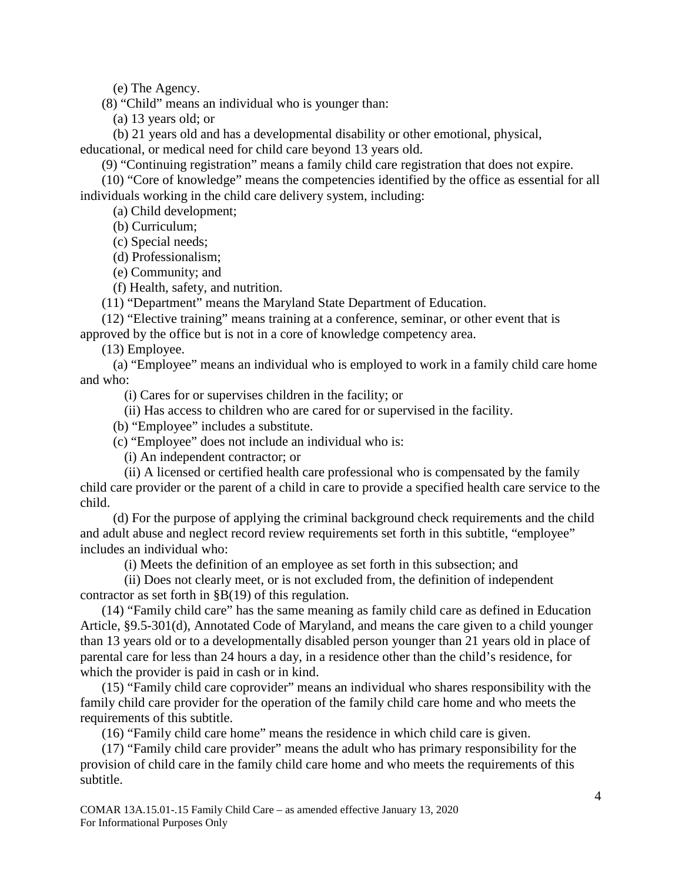(e) The Agency.

(8) "Child" means an individual who is younger than:

(a) 13 years old; or

(b) 21 years old and has a developmental disability or other emotional, physical, educational, or medical need for child care beyond 13 years old.

(9) "Continuing registration" means a family child care registration that does not expire.

(10) "Core of knowledge" means the competencies identified by the office as essential for all individuals working in the child care delivery system, including:

(a) Child development;

(b) Curriculum;

(c) Special needs;

(d) Professionalism;

(e) Community; and

(f) Health, safety, and nutrition.

(11) "Department" means the Maryland State Department of Education.

(12) "Elective training" means training at a conference, seminar, or other event that is approved by the office but is not in a core of knowledge competency area.

(13) Employee.

(a) "Employee" means an individual who is employed to work in a family child care home and who:

(i) Cares for or supervises children in the facility; or

(ii) Has access to children who are cared for or supervised in the facility.

(b) "Employee" includes a substitute.

(c) "Employee" does not include an individual who is:

(i) An independent contractor; or

(ii) A licensed or certified health care professional who is compensated by the family child care provider or the parent of a child in care to provide a specified health care service to the child.

(d) For the purpose of applying the criminal background check requirements and the child and adult abuse and neglect record review requirements set forth in this subtitle, "employee" includes an individual who:

(i) Meets the definition of an employee as set forth in this subsection; and

(ii) Does not clearly meet, or is not excluded from, the definition of independent contractor as set forth in §B(19) of this regulation.

(14) "Family child care" has the same meaning as family child care as defined in Education Article, §9.5-301(d), Annotated Code of Maryland, and means the care given to a child younger than 13 years old or to a developmentally disabled person younger than 21 years old in place of parental care for less than 24 hours a day, in a residence other than the child's residence, for which the provider is paid in cash or in kind.

(15) "Family child care coprovider" means an individual who shares responsibility with the family child care provider for the operation of the family child care home and who meets the requirements of this subtitle.

(16) "Family child care home" means the residence in which child care is given.

(17) "Family child care provider" means the adult who has primary responsibility for the provision of child care in the family child care home and who meets the requirements of this subtitle.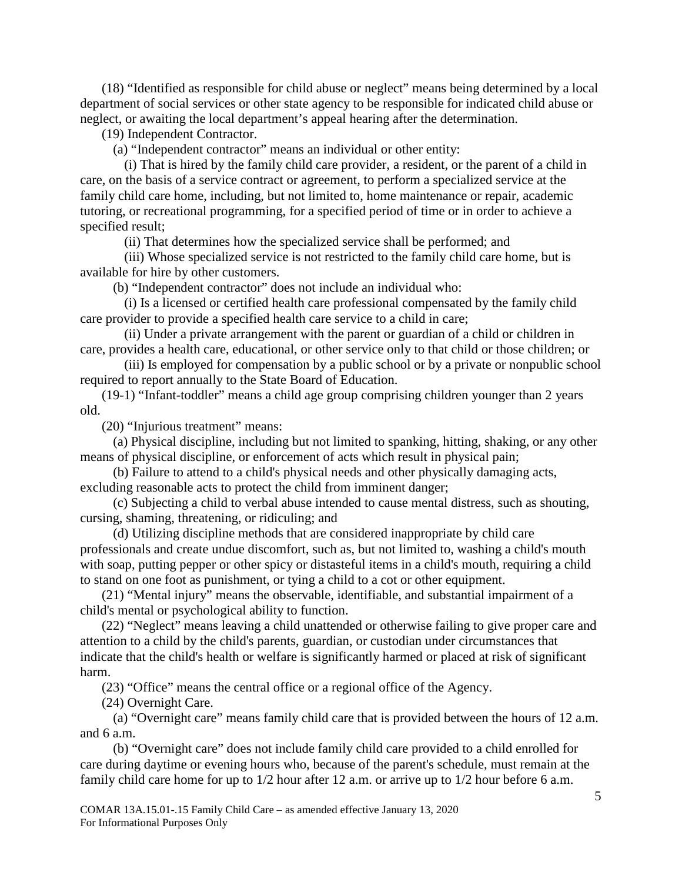(18) "Identified as responsible for child abuse or neglect" means being determined by a local department of social services or other state agency to be responsible for indicated child abuse or neglect, or awaiting the local department's appeal hearing after the determination.

(19) Independent Contractor.

(a) "Independent contractor" means an individual or other entity:

(i) That is hired by the family child care provider, a resident, or the parent of a child in care, on the basis of a service contract or agreement, to perform a specialized service at the family child care home, including, but not limited to, home maintenance or repair, academic tutoring, or recreational programming, for a specified period of time or in order to achieve a specified result;

(ii) That determines how the specialized service shall be performed; and

(iii) Whose specialized service is not restricted to the family child care home, but is available for hire by other customers.

(b) "Independent contractor" does not include an individual who:

(i) Is a licensed or certified health care professional compensated by the family child care provider to provide a specified health care service to a child in care;

(ii) Under a private arrangement with the parent or guardian of a child or children in care, provides a health care, educational, or other service only to that child or those children; or

(iii) Is employed for compensation by a public school or by a private or nonpublic school required to report annually to the State Board of Education.

(19-1) "Infant-toddler" means a child age group comprising children younger than 2 years old.

(20) "Injurious treatment" means:

(a) Physical discipline, including but not limited to spanking, hitting, shaking, or any other means of physical discipline, or enforcement of acts which result in physical pain;

(b) Failure to attend to a child's physical needs and other physically damaging acts, excluding reasonable acts to protect the child from imminent danger;

(c) Subjecting a child to verbal abuse intended to cause mental distress, such as shouting, cursing, shaming, threatening, or ridiculing; and

(d) Utilizing discipline methods that are considered inappropriate by child care professionals and create undue discomfort, such as, but not limited to, washing a child's mouth with soap, putting pepper or other spicy or distasteful items in a child's mouth, requiring a child to stand on one foot as punishment, or tying a child to a cot or other equipment.

(21) "Mental injury" means the observable, identifiable, and substantial impairment of a child's mental or psychological ability to function.

(22) "Neglect" means leaving a child unattended or otherwise failing to give proper care and attention to a child by the child's parents, guardian, or custodian under circumstances that indicate that the child's health or welfare is significantly harmed or placed at risk of significant harm.

(23) "Office" means the central office or a regional office of the Agency.

(24) Overnight Care.

(a) "Overnight care" means family child care that is provided between the hours of 12 a.m. and 6 a.m.

(b) "Overnight care" does not include family child care provided to a child enrolled for care during daytime or evening hours who, because of the parent's schedule, must remain at the family child care home for up to 1/2 hour after 12 a.m. or arrive up to 1/2 hour before 6 a.m.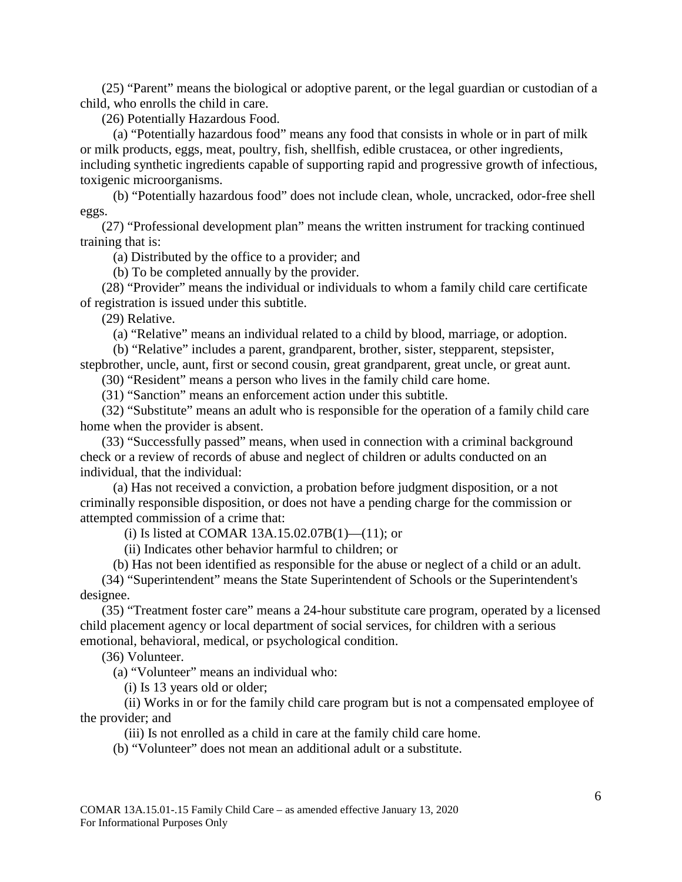(25) "Parent" means the biological or adoptive parent, or the legal guardian or custodian of a child, who enrolls the child in care.

(26) Potentially Hazardous Food.

(a) "Potentially hazardous food" means any food that consists in whole or in part of milk or milk products, eggs, meat, poultry, fish, shellfish, edible crustacea, or other ingredients, including synthetic ingredients capable of supporting rapid and progressive growth of infectious, toxigenic microorganisms.

(b) "Potentially hazardous food" does not include clean, whole, uncracked, odor-free shell eggs.

(27) "Professional development plan" means the written instrument for tracking continued training that is:

(a) Distributed by the office to a provider; and

(b) To be completed annually by the provider.

(28) "Provider" means the individual or individuals to whom a family child care certificate of registration is issued under this subtitle.

(29) Relative.

(a) "Relative" means an individual related to a child by blood, marriage, or adoption.

(b) "Relative" includes a parent, grandparent, brother, sister, stepparent, stepsister,

stepbrother, uncle, aunt, first or second cousin, great grandparent, great uncle, or great aunt.

(30) "Resident" means a person who lives in the family child care home.

(31) "Sanction" means an enforcement action under this subtitle.

(32) "Substitute" means an adult who is responsible for the operation of a family child care home when the provider is absent.

(33) "Successfully passed" means, when used in connection with a criminal background check or a review of records of abuse and neglect of children or adults conducted on an individual, that the individual:

(a) Has not received a conviction, a probation before judgment disposition, or a not criminally responsible disposition, or does not have a pending charge for the commission or attempted commission of a crime that:

(i) Is listed at COMAR 13A.15.02.07B(1)—(11); or

(ii) Indicates other behavior harmful to children; or

(b) Has not been identified as responsible for the abuse or neglect of a child or an adult.

(34) "Superintendent" means the State Superintendent of Schools or the Superintendent's designee.

(35) "Treatment foster care" means a 24-hour substitute care program, operated by a licensed child placement agency or local department of social services, for children with a serious emotional, behavioral, medical, or psychological condition.

(36) Volunteer.

(a) "Volunteer" means an individual who:

(i) Is 13 years old or older;

(ii) Works in or for the family child care program but is not a compensated employee of the provider; and

(iii) Is not enrolled as a child in care at the family child care home.

(b) "Volunteer" does not mean an additional adult or a substitute.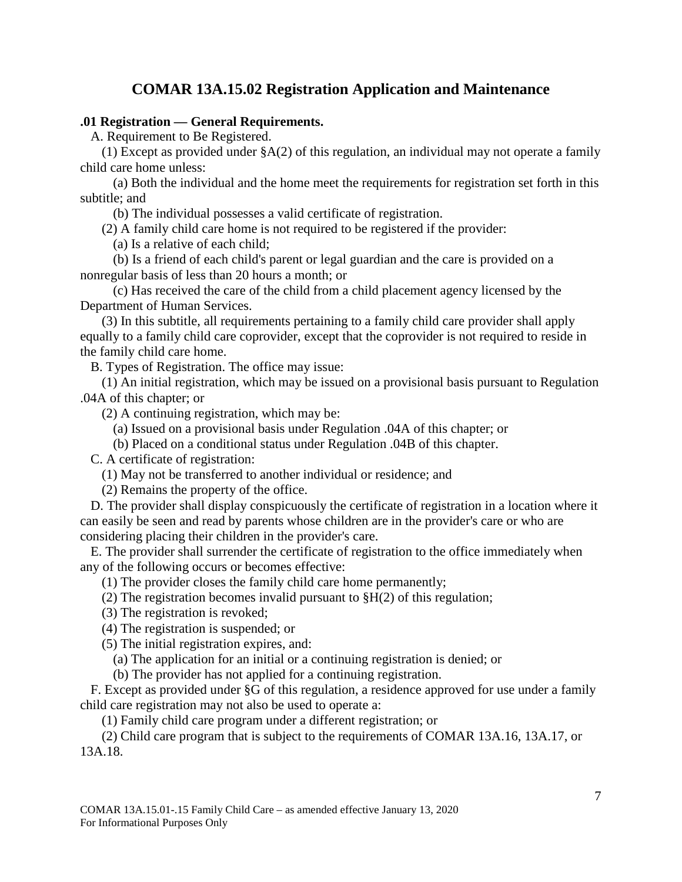## **COMAR 13A.15.02 Registration Application and Maintenance**

## <span id="page-6-1"></span><span id="page-6-0"></span>**.01 Registration — General Requirements.**

A. Requirement to Be Registered.

(1) Except as provided under §A(2) of this regulation, an individual may not operate a family child care home unless:

(a) Both the individual and the home meet the requirements for registration set forth in this subtitle; and

(b) The individual possesses a valid certificate of registration.

(2) A family child care home is not required to be registered if the provider:

(a) Is a relative of each child;

(b) Is a friend of each child's parent or legal guardian and the care is provided on a nonregular basis of less than 20 hours a month; or

(c) Has received the care of the child from a child placement agency licensed by the Department of Human Services.

(3) In this subtitle, all requirements pertaining to a family child care provider shall apply equally to a family child care coprovider, except that the coprovider is not required to reside in the family child care home.

B. Types of Registration. The office may issue:

(1) An initial registration, which may be issued on a provisional basis pursuant to Regulation .04A of this chapter; or

(2) A continuing registration, which may be:

(a) Issued on a provisional basis under Regulation .04A of this chapter; or

(b) Placed on a conditional status under Regulation .04B of this chapter.

C. A certificate of registration:

(1) May not be transferred to another individual or residence; and

(2) Remains the property of the office.

D. The provider shall display conspicuously the certificate of registration in a location where it can easily be seen and read by parents whose children are in the provider's care or who are considering placing their children in the provider's care.

E. The provider shall surrender the certificate of registration to the office immediately when any of the following occurs or becomes effective:

(1) The provider closes the family child care home permanently;

(2) The registration becomes invalid pursuant to §H(2) of this regulation;

(3) The registration is revoked;

(4) The registration is suspended; or

(5) The initial registration expires, and:

(a) The application for an initial or a continuing registration is denied; or

(b) The provider has not applied for a continuing registration.

F. Except as provided under §G of this regulation, a residence approved for use under a family child care registration may not also be used to operate a:

(1) Family child care program under a different registration; or

(2) Child care program that is subject to the requirements of COMAR 13A.16, 13A.17, or 13A.18.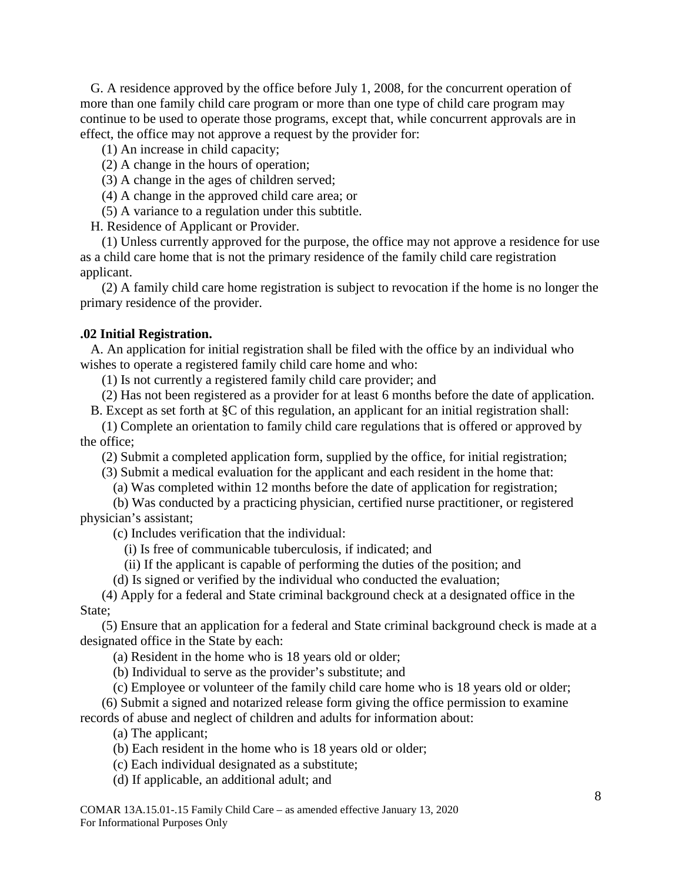G. A residence approved by the office before July 1, 2008, for the concurrent operation of more than one family child care program or more than one type of child care program may continue to be used to operate those programs, except that, while concurrent approvals are in effect, the office may not approve a request by the provider for:

(1) An increase in child capacity;

(2) A change in the hours of operation;

- (3) A change in the ages of children served;
- (4) A change in the approved child care area; or

(5) A variance to a regulation under this subtitle.

H. Residence of Applicant or Provider.

(1) Unless currently approved for the purpose, the office may not approve a residence for use as a child care home that is not the primary residence of the family child care registration applicant.

(2) A family child care home registration is subject to revocation if the home is no longer the primary residence of the provider.

#### <span id="page-7-0"></span>**.02 Initial Registration.**

A. An application for initial registration shall be filed with the office by an individual who wishes to operate a registered family child care home and who:

(1) Is not currently a registered family child care provider; and

(2) Has not been registered as a provider for at least 6 months before the date of application.

B. Except as set forth at §C of this regulation, an applicant for an initial registration shall:

(1) Complete an orientation to family child care regulations that is offered or approved by the office;

(2) Submit a completed application form, supplied by the office, for initial registration;

(3) Submit a medical evaluation for the applicant and each resident in the home that:

(a) Was completed within 12 months before the date of application for registration;

(b) Was conducted by a practicing physician, certified nurse practitioner, or registered physician's assistant;

(c) Includes verification that the individual:

- (i) Is free of communicable tuberculosis, if indicated; and
- (ii) If the applicant is capable of performing the duties of the position; and
- (d) Is signed or verified by the individual who conducted the evaluation;

(4) Apply for a federal and State criminal background check at a designated office in the State;

(5) Ensure that an application for a federal and State criminal background check is made at a designated office in the State by each:

- (a) Resident in the home who is 18 years old or older;
- (b) Individual to serve as the provider's substitute; and
- (c) Employee or volunteer of the family child care home who is 18 years old or older;

(6) Submit a signed and notarized release form giving the office permission to examine records of abuse and neglect of children and adults for information about:

(a) The applicant;

- (b) Each resident in the home who is 18 years old or older;
- (c) Each individual designated as a substitute;
- (d) If applicable, an additional adult; and

COMAR 13A.15.01-.15 Family Child Care – as amended effective January 13, 2020 For Informational Purposes Only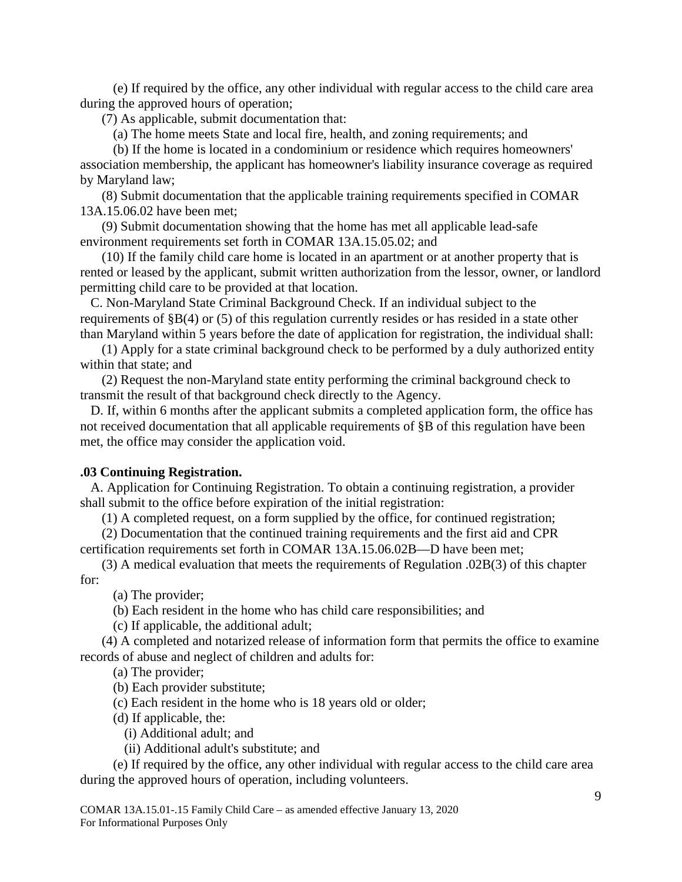(e) If required by the office, any other individual with regular access to the child care area during the approved hours of operation;

(7) As applicable, submit documentation that:

(a) The home meets State and local fire, health, and zoning requirements; and

(b) If the home is located in a condominium or residence which requires homeowners' association membership, the applicant has homeowner's liability insurance coverage as required by Maryland law;

(8) Submit documentation that the applicable training requirements specified in COMAR 13A.15.06.02 have been met;

(9) Submit documentation showing that the home has met all applicable lead-safe environment requirements set forth in COMAR 13A.15.05.02; and

(10) If the family child care home is located in an apartment or at another property that is rented or leased by the applicant, submit written authorization from the lessor, owner, or landlord permitting child care to be provided at that location.

C. Non-Maryland State Criminal Background Check. If an individual subject to the requirements of §B(4) or (5) of this regulation currently resides or has resided in a state other than Maryland within 5 years before the date of application for registration, the individual shall:

(1) Apply for a state criminal background check to be performed by a duly authorized entity within that state; and

(2) Request the non-Maryland state entity performing the criminal background check to transmit the result of that background check directly to the Agency.

D. If, within 6 months after the applicant submits a completed application form, the office has not received documentation that all applicable requirements of §B of this regulation have been met, the office may consider the application void.

## <span id="page-8-0"></span>**.03 Continuing Registration.**

A. Application for Continuing Registration. To obtain a continuing registration, a provider shall submit to the office before expiration of the initial registration:

(1) A completed request, on a form supplied by the office, for continued registration;

(2) Documentation that the continued training requirements and the first aid and CPR certification requirements set forth in COMAR 13A.15.06.02B—D have been met;

(3) A medical evaluation that meets the requirements of Regulation .02B(3) of this chapter for:

(a) The provider;

(b) Each resident in the home who has child care responsibilities; and

(c) If applicable, the additional adult;

(4) A completed and notarized release of information form that permits the office to examine records of abuse and neglect of children and adults for:

(a) The provider;

(b) Each provider substitute;

(c) Each resident in the home who is 18 years old or older;

(d) If applicable, the:

(i) Additional adult; and

(ii) Additional adult's substitute; and

(e) If required by the office, any other individual with regular access to the child care area during the approved hours of operation, including volunteers.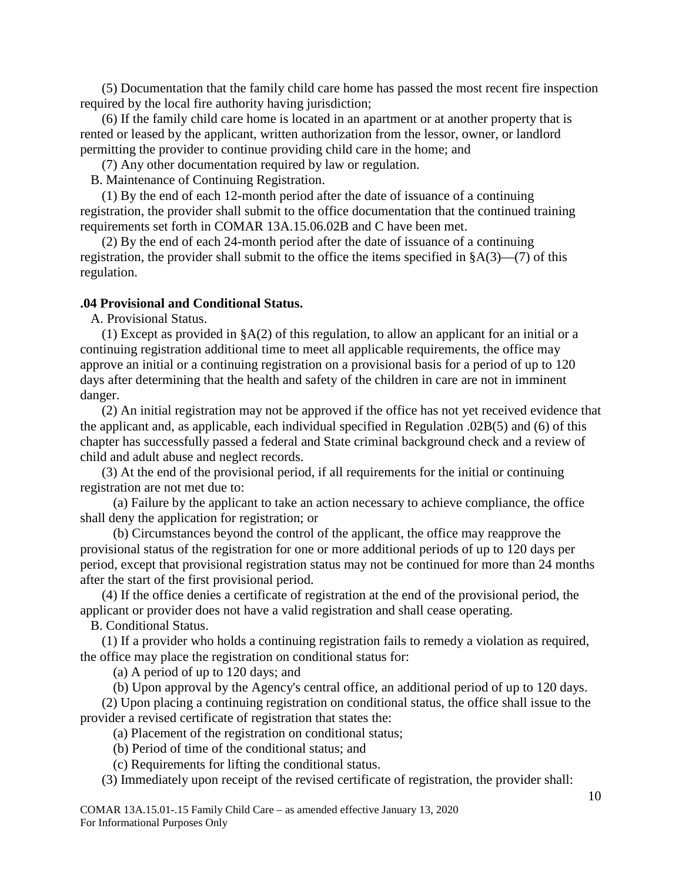(5) Documentation that the family child care home has passed the most recent fire inspection required by the local fire authority having jurisdiction;

(6) If the family child care home is located in an apartment or at another property that is rented or leased by the applicant, written authorization from the lessor, owner, or landlord permitting the provider to continue providing child care in the home; and

(7) Any other documentation required by law or regulation.

B. Maintenance of Continuing Registration.

(1) By the end of each 12-month period after the date of issuance of a continuing registration, the provider shall submit to the office documentation that the continued training requirements set forth in COMAR 13A.15.06.02B and C have been met.

(2) By the end of each 24-month period after the date of issuance of a continuing registration, the provider shall submit to the office the items specified in  $\delta A(3)$ —(7) of this regulation.

#### <span id="page-9-0"></span>**.04 Provisional and Conditional Status.**

A. Provisional Status.

(1) Except as provided in §A(2) of this regulation, to allow an applicant for an initial or a continuing registration additional time to meet all applicable requirements, the office may approve an initial or a continuing registration on a provisional basis for a period of up to 120 days after determining that the health and safety of the children in care are not in imminent danger.

(2) An initial registration may not be approved if the office has not yet received evidence that the applicant and, as applicable, each individual specified in Regulation .02B(5) and (6) of this chapter has successfully passed a federal and State criminal background check and a review of child and adult abuse and neglect records.

(3) At the end of the provisional period, if all requirements for the initial or continuing registration are not met due to:

(a) Failure by the applicant to take an action necessary to achieve compliance, the office shall deny the application for registration; or

(b) Circumstances beyond the control of the applicant, the office may reapprove the provisional status of the registration for one or more additional periods of up to 120 days per period, except that provisional registration status may not be continued for more than 24 months after the start of the first provisional period.

(4) If the office denies a certificate of registration at the end of the provisional period, the applicant or provider does not have a valid registration and shall cease operating.

B. Conditional Status.

(1) If a provider who holds a continuing registration fails to remedy a violation as required, the office may place the registration on conditional status for:

(a) A period of up to 120 days; and

(b) Upon approval by the Agency's central office, an additional period of up to 120 days.

(2) Upon placing a continuing registration on conditional status, the office shall issue to the provider a revised certificate of registration that states the:

(a) Placement of the registration on conditional status;

- (b) Period of time of the conditional status; and
- (c) Requirements for lifting the conditional status.

(3) Immediately upon receipt of the revised certificate of registration, the provider shall:

COMAR 13A.15.01-.15 Family Child Care – as amended effective January 13, 2020 For Informational Purposes Only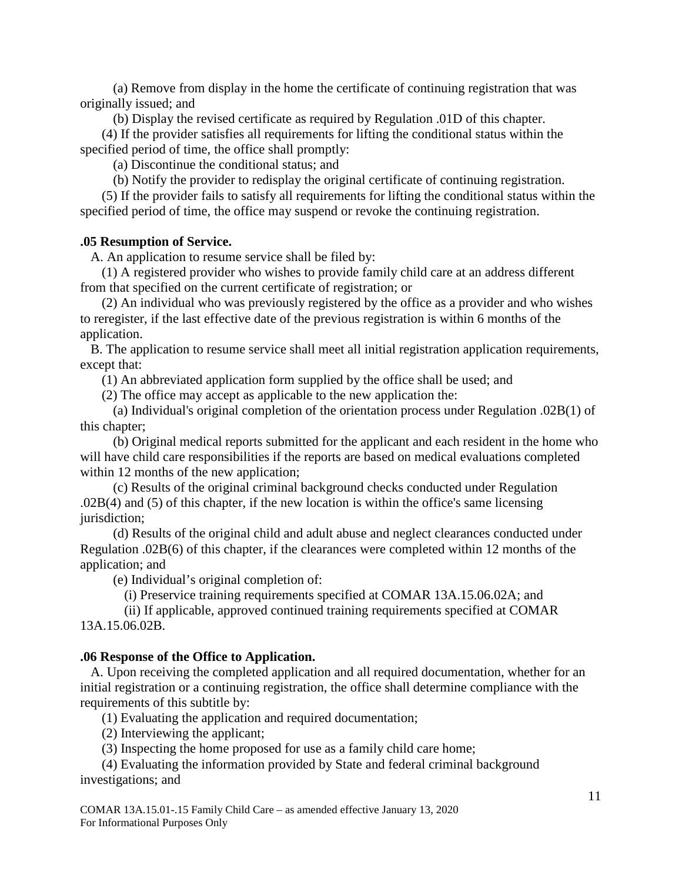(a) Remove from display in the home the certificate of continuing registration that was originally issued; and

(b) Display the revised certificate as required by Regulation .01D of this chapter.

(4) If the provider satisfies all requirements for lifting the conditional status within the specified period of time, the office shall promptly:

(a) Discontinue the conditional status; and

(b) Notify the provider to redisplay the original certificate of continuing registration.

(5) If the provider fails to satisfy all requirements for lifting the conditional status within the specified period of time, the office may suspend or revoke the continuing registration.

#### <span id="page-10-0"></span>**.05 Resumption of Service.**

A. An application to resume service shall be filed by:

(1) A registered provider who wishes to provide family child care at an address different from that specified on the current certificate of registration; or

(2) An individual who was previously registered by the office as a provider and who wishes to reregister, if the last effective date of the previous registration is within 6 months of the application.

B. The application to resume service shall meet all initial registration application requirements, except that:

(1) An abbreviated application form supplied by the office shall be used; and

(2) The office may accept as applicable to the new application the:

(a) Individual's original completion of the orientation process under Regulation .02B(1) of this chapter;

(b) Original medical reports submitted for the applicant and each resident in the home who will have child care responsibilities if the reports are based on medical evaluations completed within 12 months of the new application;

(c) Results of the original criminal background checks conducted under Regulation .02B(4) and (5) of this chapter, if the new location is within the office's same licensing jurisdiction;

(d) Results of the original child and adult abuse and neglect clearances conducted under Regulation .02B(6) of this chapter, if the clearances were completed within 12 months of the application; and

(e) Individual's original completion of:

(i) Preservice training requirements specified at COMAR 13A.15.06.02A; and

(ii) If applicable, approved continued training requirements specified at COMAR 13A.15.06.02B.

#### <span id="page-10-1"></span>**.06 Response of the Office to Application.**

A. Upon receiving the completed application and all required documentation, whether for an initial registration or a continuing registration, the office shall determine compliance with the requirements of this subtitle by:

(1) Evaluating the application and required documentation;

(2) Interviewing the applicant;

(3) Inspecting the home proposed for use as a family child care home;

(4) Evaluating the information provided by State and federal criminal background investigations; and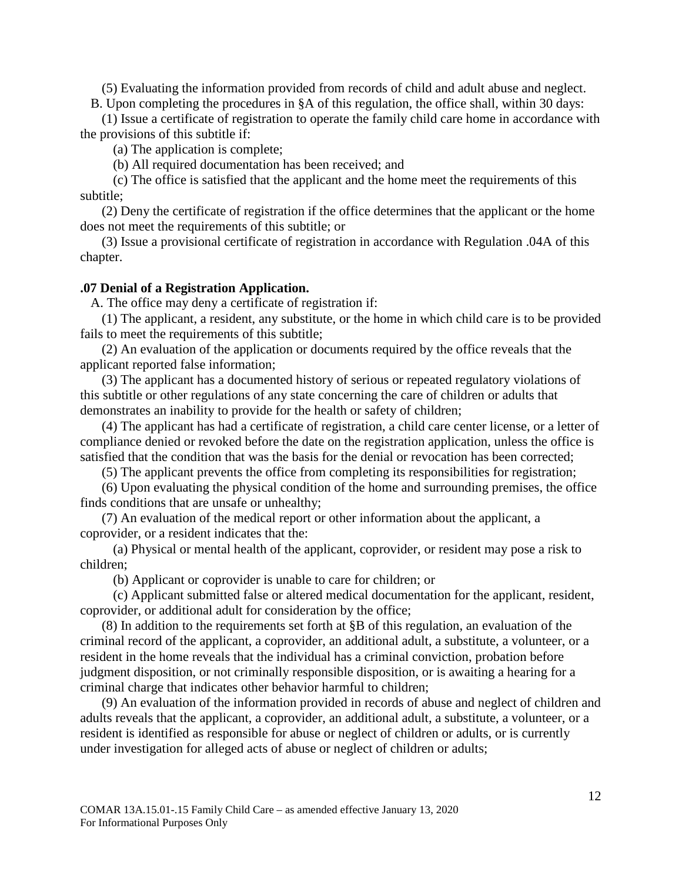(5) Evaluating the information provided from records of child and adult abuse and neglect. B. Upon completing the procedures in §A of this regulation, the office shall, within 30 days:

(1) Issue a certificate of registration to operate the family child care home in accordance with the provisions of this subtitle if:

(a) The application is complete;

(b) All required documentation has been received; and

(c) The office is satisfied that the applicant and the home meet the requirements of this subtitle;

(2) Deny the certificate of registration if the office determines that the applicant or the home does not meet the requirements of this subtitle; or

(3) Issue a provisional certificate of registration in accordance with Regulation .04A of this chapter.

#### <span id="page-11-0"></span>**.07 Denial of a Registration Application.**

A. The office may deny a certificate of registration if:

(1) The applicant, a resident, any substitute, or the home in which child care is to be provided fails to meet the requirements of this subtitle;

(2) An evaluation of the application or documents required by the office reveals that the applicant reported false information;

(3) The applicant has a documented history of serious or repeated regulatory violations of this subtitle or other regulations of any state concerning the care of children or adults that demonstrates an inability to provide for the health or safety of children;

(4) The applicant has had a certificate of registration, a child care center license, or a letter of compliance denied or revoked before the date on the registration application, unless the office is satisfied that the condition that was the basis for the denial or revocation has been corrected;

(5) The applicant prevents the office from completing its responsibilities for registration;

(6) Upon evaluating the physical condition of the home and surrounding premises, the office finds conditions that are unsafe or unhealthy;

(7) An evaluation of the medical report or other information about the applicant, a coprovider, or a resident indicates that the:

(a) Physical or mental health of the applicant, coprovider, or resident may pose a risk to children;

(b) Applicant or coprovider is unable to care for children; or

(c) Applicant submitted false or altered medical documentation for the applicant, resident, coprovider, or additional adult for consideration by the office;

(8) In addition to the requirements set forth at §B of this regulation, an evaluation of the criminal record of the applicant, a coprovider, an additional adult, a substitute, a volunteer, or a resident in the home reveals that the individual has a criminal conviction, probation before judgment disposition, or not criminally responsible disposition, or is awaiting a hearing for a criminal charge that indicates other behavior harmful to children;

(9) An evaluation of the information provided in records of abuse and neglect of children and adults reveals that the applicant, a coprovider, an additional adult, a substitute, a volunteer, or a resident is identified as responsible for abuse or neglect of children or adults, or is currently under investigation for alleged acts of abuse or neglect of children or adults;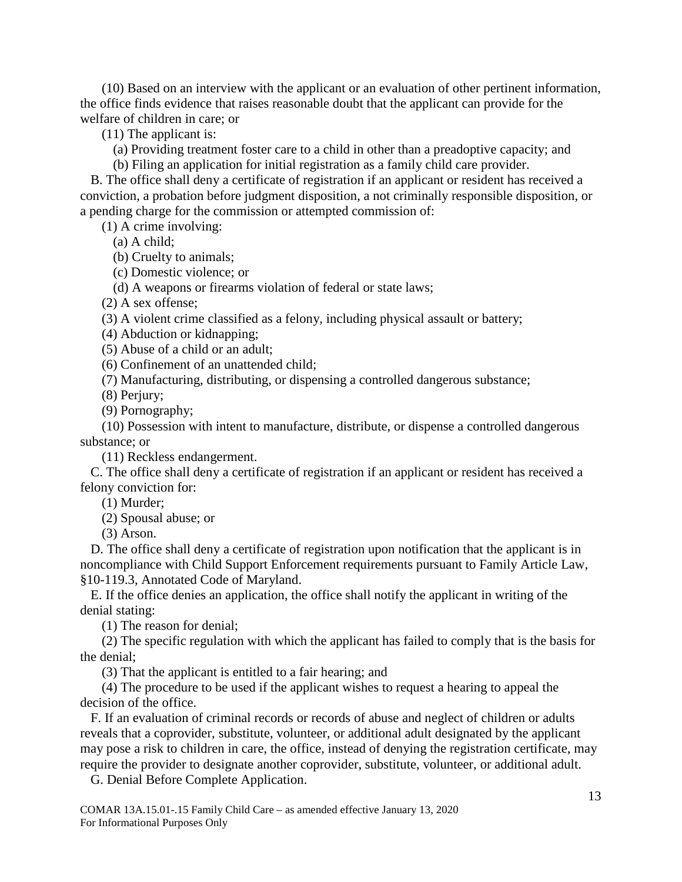(10) Based on an interview with the applicant or an evaluation of other pertinent information, the office finds evidence that raises reasonable doubt that the applicant can provide for the welfare of children in care; or

(11) The applicant is:

(a) Providing treatment foster care to a child in other than a preadoptive capacity; and

(b) Filing an application for initial registration as a family child care provider.

B. The office shall deny a certificate of registration if an applicant or resident has received a conviction, a probation before judgment disposition, a not criminally responsible disposition, or a pending charge for the commission or attempted commission of:

(1) A crime involving:

(a) A child;

(b) Cruelty to animals;

(c) Domestic violence; or

(d) A weapons or firearms violation of federal or state laws;

(2) A sex offense;

(3) A violent crime classified as a felony, including physical assault or battery;

(4) Abduction or kidnapping;

(5) Abuse of a child or an adult;

(6) Confinement of an unattended child;

(7) Manufacturing, distributing, or dispensing a controlled dangerous substance;

(8) Perjury;

(9) Pornography;

(10) Possession with intent to manufacture, distribute, or dispense a controlled dangerous substance; or

(11) Reckless endangerment.

C. The office shall deny a certificate of registration if an applicant or resident has received a felony conviction for:

(1) Murder;

(2) Spousal abuse; or

(3) Arson.

D. The office shall deny a certificate of registration upon notification that the applicant is in noncompliance with Child Support Enforcement requirements pursuant to Family Article Law, §10-119.3, Annotated Code of Maryland.

E. If the office denies an application, the office shall notify the applicant in writing of the denial stating:

(1) The reason for denial;

(2) The specific regulation with which the applicant has failed to comply that is the basis for the denial;

(3) That the applicant is entitled to a fair hearing; and

(4) The procedure to be used if the applicant wishes to request a hearing to appeal the decision of the office.

F. If an evaluation of criminal records or records of abuse and neglect of children or adults reveals that a coprovider, substitute, volunteer, or additional adult designated by the applicant may pose a risk to children in care, the office, instead of denying the registration certificate, may require the provider to designate another coprovider, substitute, volunteer, or additional adult.

G. Denial Before Complete Application.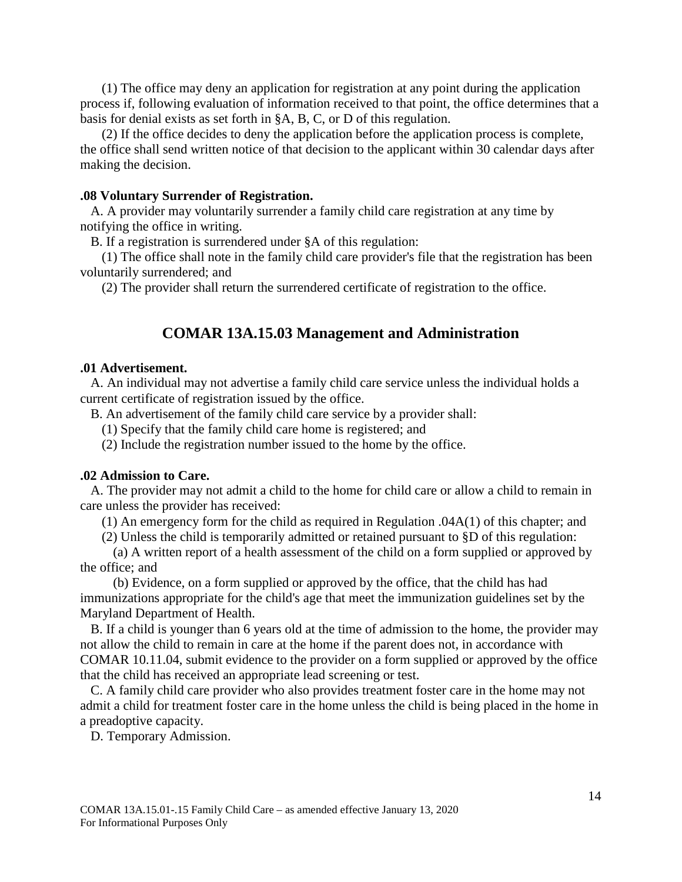(1) The office may deny an application for registration at any point during the application process if, following evaluation of information received to that point, the office determines that a basis for denial exists as set forth in §A, B, C, or D of this regulation.

(2) If the office decides to deny the application before the application process is complete, the office shall send written notice of that decision to the applicant within 30 calendar days after making the decision.

#### <span id="page-13-0"></span>**.08 Voluntary Surrender of Registration.**

A. A provider may voluntarily surrender a family child care registration at any time by notifying the office in writing.

B. If a registration is surrendered under §A of this regulation:

(1) The office shall note in the family child care provider's file that the registration has been voluntarily surrendered; and

<span id="page-13-1"></span>(2) The provider shall return the surrendered certificate of registration to the office.

## **COMAR 13A.15.03 Management and Administration**

#### <span id="page-13-2"></span>**.01 Advertisement.**

A. An individual may not advertise a family child care service unless the individual holds a current certificate of registration issued by the office.

B. An advertisement of the family child care service by a provider shall:

(1) Specify that the family child care home is registered; and

(2) Include the registration number issued to the home by the office.

#### <span id="page-13-3"></span>**.02 Admission to Care.**

A. The provider may not admit a child to the home for child care or allow a child to remain in care unless the provider has received:

(1) An emergency form for the child as required in Regulation .04A(1) of this chapter; and

(2) Unless the child is temporarily admitted or retained pursuant to §D of this regulation:

(a) A written report of a health assessment of the child on a form supplied or approved by the office; and

(b) Evidence, on a form supplied or approved by the office, that the child has had immunizations appropriate for the child's age that meet the immunization guidelines set by the Maryland Department of Health.

B. If a child is younger than 6 years old at the time of admission to the home, the provider may not allow the child to remain in care at the home if the parent does not, in accordance with COMAR 10.11.04, submit evidence to the provider on a form supplied or approved by the office that the child has received an appropriate lead screening or test.

C. A family child care provider who also provides treatment foster care in the home may not admit a child for treatment foster care in the home unless the child is being placed in the home in a preadoptive capacity.

D. Temporary Admission.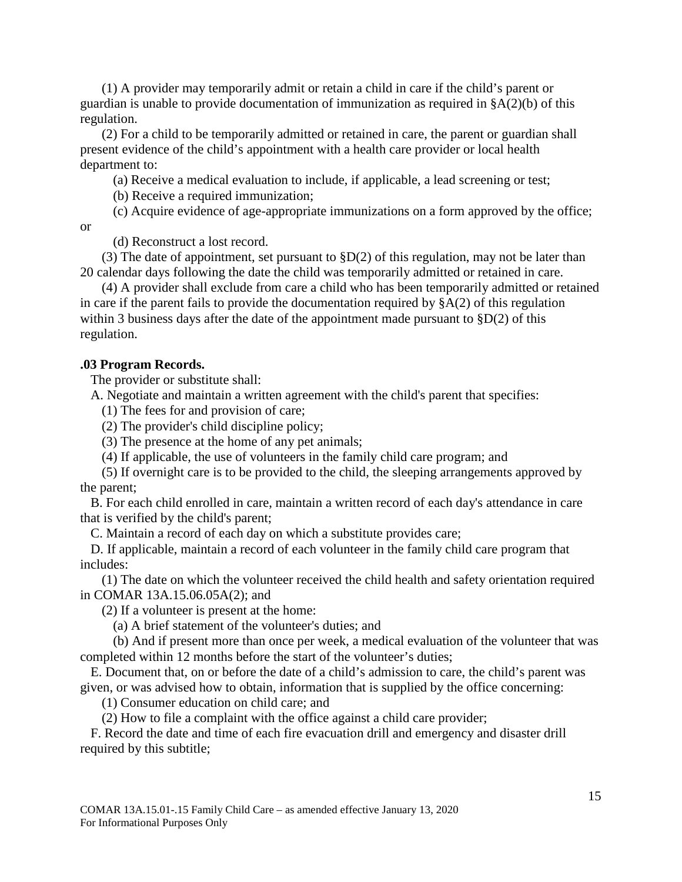(1) A provider may temporarily admit or retain a child in care if the child's parent or guardian is unable to provide documentation of immunization as required in §A(2)(b) of this regulation.

(2) For a child to be temporarily admitted or retained in care, the parent or guardian shall present evidence of the child's appointment with a health care provider or local health department to:

(a) Receive a medical evaluation to include, if applicable, a lead screening or test;

(b) Receive a required immunization;

(c) Acquire evidence of age-appropriate immunizations on a form approved by the office;

or

(d) Reconstruct a lost record.

(3) The date of appointment, set pursuant to  $\S D(2)$  of this regulation, may not be later than 20 calendar days following the date the child was temporarily admitted or retained in care.

(4) A provider shall exclude from care a child who has been temporarily admitted or retained in care if the parent fails to provide the documentation required by  $A(2)$  of this regulation within 3 business days after the date of the appointment made pursuant to  $\S D(2)$  of this regulation.

## <span id="page-14-0"></span>**.03 Program Records.**

The provider or substitute shall:

A. Negotiate and maintain a written agreement with the child's parent that specifies:

(1) The fees for and provision of care;

(2) The provider's child discipline policy;

(3) The presence at the home of any pet animals;

(4) If applicable, the use of volunteers in the family child care program; and

(5) If overnight care is to be provided to the child, the sleeping arrangements approved by the parent;

B. For each child enrolled in care, maintain a written record of each day's attendance in care that is verified by the child's parent;

C. Maintain a record of each day on which a substitute provides care;

D. If applicable, maintain a record of each volunteer in the family child care program that includes:

(1) The date on which the volunteer received the child health and safety orientation required in COMAR 13A.15.06.05A(2); and

(2) If a volunteer is present at the home:

(a) A brief statement of the volunteer's duties; and

(b) And if present more than once per week, a medical evaluation of the volunteer that was completed within 12 months before the start of the volunteer's duties;

E. Document that, on or before the date of a child's admission to care, the child's parent was given, or was advised how to obtain, information that is supplied by the office concerning:

(1) Consumer education on child care; and

(2) How to file a complaint with the office against a child care provider;

F. Record the date and time of each fire evacuation drill and emergency and disaster drill required by this subtitle;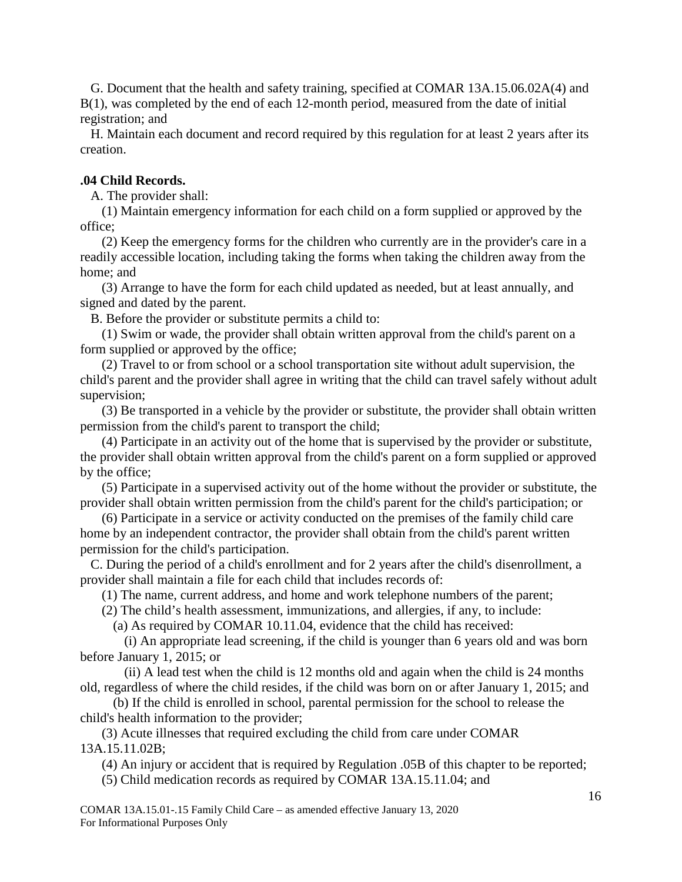G. Document that the health and safety training, specified at COMAR 13A.15.06.02A(4) and B(1), was completed by the end of each 12-month period, measured from the date of initial registration; and

H. Maintain each document and record required by this regulation for at least 2 years after its creation.

## <span id="page-15-0"></span>**.04 Child Records.**

A. The provider shall:

(1) Maintain emergency information for each child on a form supplied or approved by the office;

(2) Keep the emergency forms for the children who currently are in the provider's care in a readily accessible location, including taking the forms when taking the children away from the home; and

(3) Arrange to have the form for each child updated as needed, but at least annually, and signed and dated by the parent.

B. Before the provider or substitute permits a child to:

(1) Swim or wade, the provider shall obtain written approval from the child's parent on a form supplied or approved by the office;

(2) Travel to or from school or a school transportation site without adult supervision, the child's parent and the provider shall agree in writing that the child can travel safely without adult supervision;

(3) Be transported in a vehicle by the provider or substitute, the provider shall obtain written permission from the child's parent to transport the child;

(4) Participate in an activity out of the home that is supervised by the provider or substitute, the provider shall obtain written approval from the child's parent on a form supplied or approved by the office;

(5) Participate in a supervised activity out of the home without the provider or substitute, the provider shall obtain written permission from the child's parent for the child's participation; or

(6) Participate in a service or activity conducted on the premises of the family child care home by an independent contractor, the provider shall obtain from the child's parent written permission for the child's participation.

C. During the period of a child's enrollment and for 2 years after the child's disenrollment, a provider shall maintain a file for each child that includes records of:

(1) The name, current address, and home and work telephone numbers of the parent;

(2) The child's health assessment, immunizations, and allergies, if any, to include:

(a) As required by COMAR 10.11.04, evidence that the child has received:

(i) An appropriate lead screening, if the child is younger than 6 years old and was born before January 1, 2015; or

(ii) A lead test when the child is 12 months old and again when the child is 24 months old, regardless of where the child resides, if the child was born on or after January 1, 2015; and

(b) If the child is enrolled in school, parental permission for the school to release the child's health information to the provider;

(3) Acute illnesses that required excluding the child from care under COMAR 13A.15.11.02B;

(4) An injury or accident that is required by Regulation .05B of this chapter to be reported;

(5) Child medication records as required by COMAR 13A.15.11.04; and

COMAR 13A.15.01-.15 Family Child Care – as amended effective January 13, 2020 For Informational Purposes Only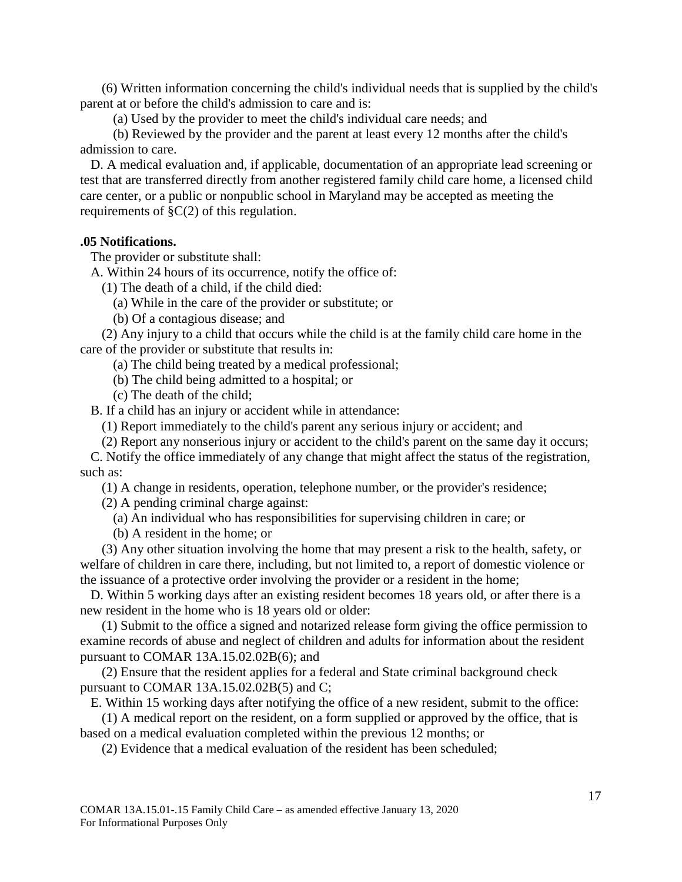(6) Written information concerning the child's individual needs that is supplied by the child's parent at or before the child's admission to care and is:

(a) Used by the provider to meet the child's individual care needs; and

(b) Reviewed by the provider and the parent at least every 12 months after the child's admission to care.

D. A medical evaluation and, if applicable, documentation of an appropriate lead screening or test that are transferred directly from another registered family child care home, a licensed child care center, or a public or nonpublic school in Maryland may be accepted as meeting the requirements of §C(2) of this regulation.

#### <span id="page-16-0"></span>**.05 Notifications.**

The provider or substitute shall:

A. Within 24 hours of its occurrence, notify the office of:

(1) The death of a child, if the child died:

(a) While in the care of the provider or substitute; or

(b) Of a contagious disease; and

(2) Any injury to a child that occurs while the child is at the family child care home in the care of the provider or substitute that results in:

- (a) The child being treated by a medical professional;
- (b) The child being admitted to a hospital; or
- (c) The death of the child;

B. If a child has an injury or accident while in attendance:

(1) Report immediately to the child's parent any serious injury or accident; and

(2) Report any nonserious injury or accident to the child's parent on the same day it occurs; C. Notify the office immediately of any change that might affect the status of the registration, such as:

(1) A change in residents, operation, telephone number, or the provider's residence;

- (2) A pending criminal charge against:
	- (a) An individual who has responsibilities for supervising children in care; or
	- (b) A resident in the home; or

(3) Any other situation involving the home that may present a risk to the health, safety, or welfare of children in care there, including, but not limited to, a report of domestic violence or the issuance of a protective order involving the provider or a resident in the home;

D. Within 5 working days after an existing resident becomes 18 years old, or after there is a new resident in the home who is 18 years old or older:

(1) Submit to the office a signed and notarized release form giving the office permission to examine records of abuse and neglect of children and adults for information about the resident pursuant to COMAR 13A.15.02.02B(6); and

(2) Ensure that the resident applies for a federal and State criminal background check pursuant to COMAR 13A.15.02.02B(5) and C;

E. Within 15 working days after notifying the office of a new resident, submit to the office:

(1) A medical report on the resident, on a form supplied or approved by the office, that is based on a medical evaluation completed within the previous 12 months; or

(2) Evidence that a medical evaluation of the resident has been scheduled;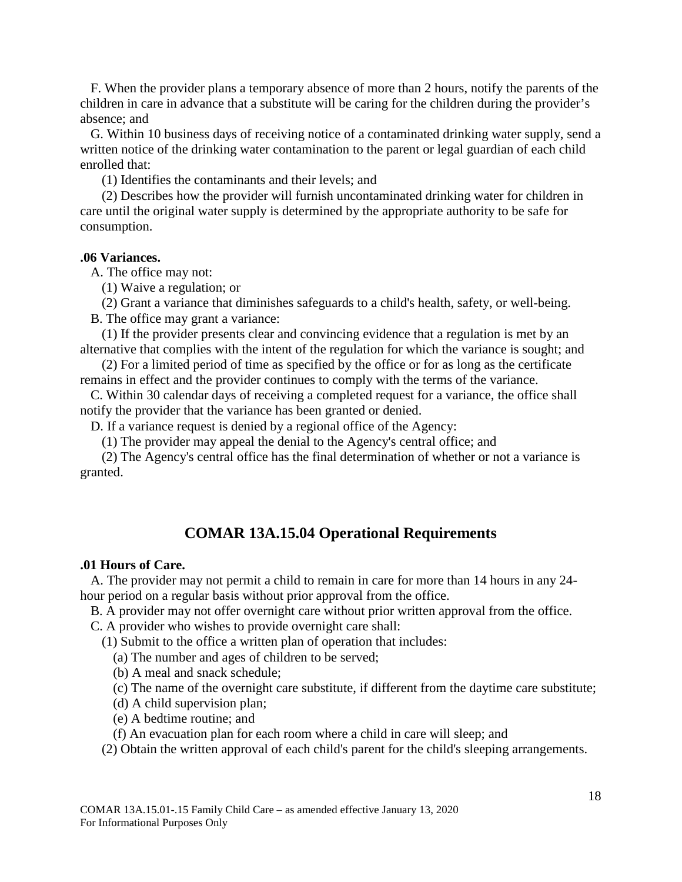F. When the provider plans a temporary absence of more than 2 hours, notify the parents of the children in care in advance that a substitute will be caring for the children during the provider's absence; and

G. Within 10 business days of receiving notice of a contaminated drinking water supply, send a written notice of the drinking water contamination to the parent or legal guardian of each child enrolled that:

(1) Identifies the contaminants and their levels; and

(2) Describes how the provider will furnish uncontaminated drinking water for children in care until the original water supply is determined by the appropriate authority to be safe for consumption.

#### <span id="page-17-0"></span>**.06 Variances.**

A. The office may not:

(1) Waive a regulation; or

(2) Grant a variance that diminishes safeguards to a child's health, safety, or well-being. B. The office may grant a variance:

(1) If the provider presents clear and convincing evidence that a regulation is met by an alternative that complies with the intent of the regulation for which the variance is sought; and

(2) For a limited period of time as specified by the office or for as long as the certificate remains in effect and the provider continues to comply with the terms of the variance.

C. Within 30 calendar days of receiving a completed request for a variance, the office shall notify the provider that the variance has been granted or denied.

D. If a variance request is denied by a regional office of the Agency:

(1) The provider may appeal the denial to the Agency's central office; and

(2) The Agency's central office has the final determination of whether or not a variance is granted.

## **COMAR 13A.15.04 Operational Requirements**

#### <span id="page-17-2"></span><span id="page-17-1"></span>**.01 Hours of Care.**

A. The provider may not permit a child to remain in care for more than 14 hours in any 24 hour period on a regular basis without prior approval from the office.

B. A provider may not offer overnight care without prior written approval from the office.

C. A provider who wishes to provide overnight care shall:

(1) Submit to the office a written plan of operation that includes:

(a) The number and ages of children to be served;

- (b) A meal and snack schedule;
- (c) The name of the overnight care substitute, if different from the daytime care substitute;
- (d) A child supervision plan;
- (e) A bedtime routine; and
- (f) An evacuation plan for each room where a child in care will sleep; and

(2) Obtain the written approval of each child's parent for the child's sleeping arrangements.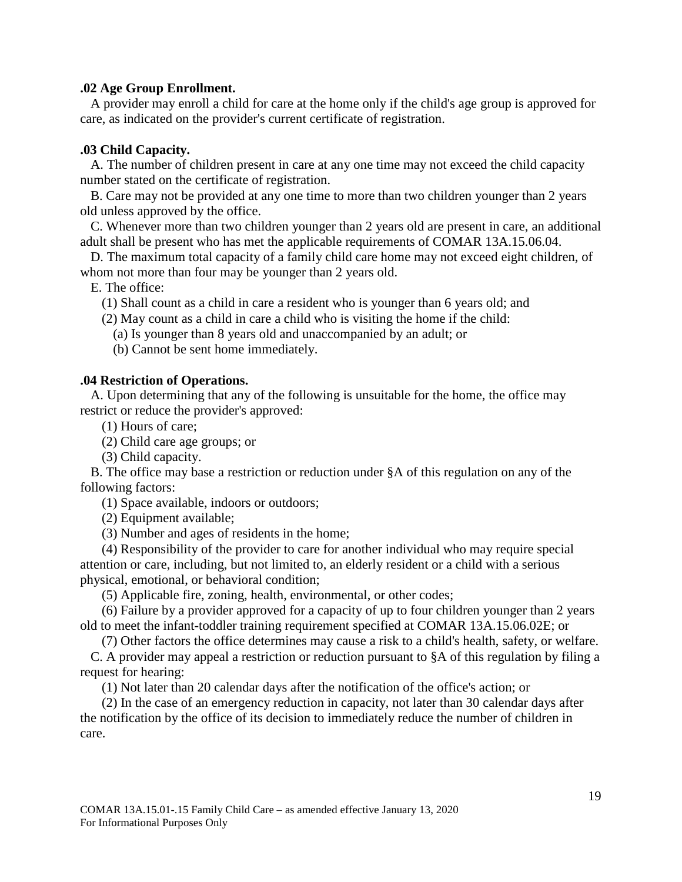## <span id="page-18-0"></span>**.02 Age Group Enrollment.**

A provider may enroll a child for care at the home only if the child's age group is approved for care, as indicated on the provider's current certificate of registration.

## <span id="page-18-1"></span>**.03 Child Capacity.**

A. The number of children present in care at any one time may not exceed the child capacity number stated on the certificate of registration.

B. Care may not be provided at any one time to more than two children younger than 2 years old unless approved by the office.

C. Whenever more than two children younger than 2 years old are present in care, an additional adult shall be present who has met the applicable requirements of COMAR 13A.15.06.04.

D. The maximum total capacity of a family child care home may not exceed eight children, of whom not more than four may be younger than 2 years old.

E. The office:

(1) Shall count as a child in care a resident who is younger than 6 years old; and

(2) May count as a child in care a child who is visiting the home if the child:

(a) Is younger than 8 years old and unaccompanied by an adult; or

(b) Cannot be sent home immediately.

## <span id="page-18-2"></span>**.04 Restriction of Operations.**

A. Upon determining that any of the following is unsuitable for the home, the office may restrict or reduce the provider's approved:

(1) Hours of care;

(2) Child care age groups; or

(3) Child capacity.

B. The office may base a restriction or reduction under §A of this regulation on any of the following factors:

(1) Space available, indoors or outdoors;

(2) Equipment available;

(3) Number and ages of residents in the home;

(4) Responsibility of the provider to care for another individual who may require special attention or care, including, but not limited to, an elderly resident or a child with a serious physical, emotional, or behavioral condition;

(5) Applicable fire, zoning, health, environmental, or other codes;

(6) Failure by a provider approved for a capacity of up to four children younger than 2 years old to meet the infant-toddler training requirement specified at COMAR 13A.15.06.02E; or

(7) Other factors the office determines may cause a risk to a child's health, safety, or welfare. C. A provider may appeal a restriction or reduction pursuant to §A of this regulation by filing a request for hearing:

(1) Not later than 20 calendar days after the notification of the office's action; or

(2) In the case of an emergency reduction in capacity, not later than 30 calendar days after the notification by the office of its decision to immediately reduce the number of children in care.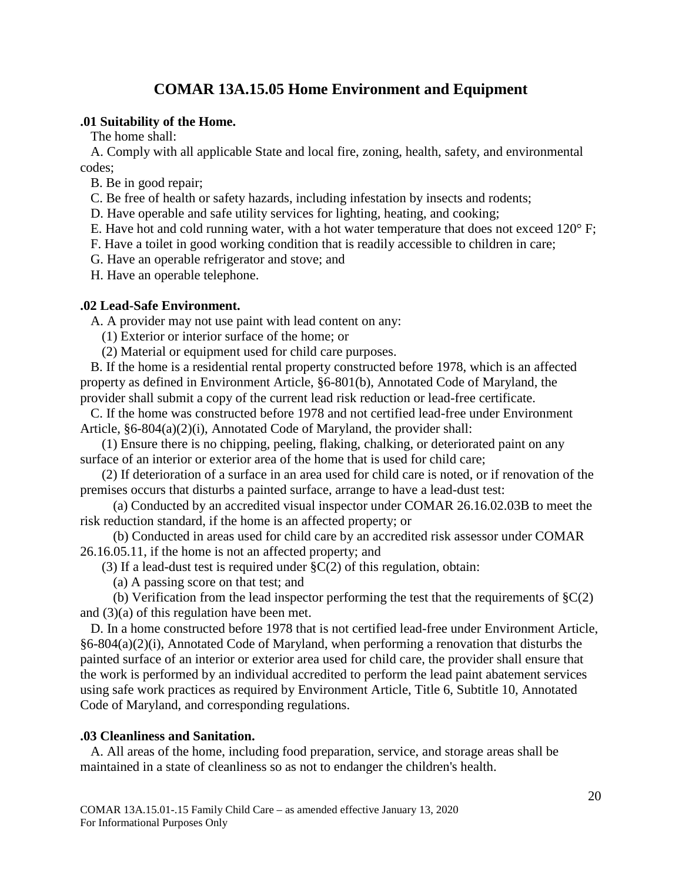## **COMAR 13A.15.05 Home Environment and Equipment**

## <span id="page-19-1"></span><span id="page-19-0"></span>**.01 Suitability of the Home.**

The home shall:

A. Comply with all applicable State and local fire, zoning, health, safety, and environmental codes;

B. Be in good repair;

C. Be free of health or safety hazards, including infestation by insects and rodents;

D. Have operable and safe utility services for lighting, heating, and cooking;

E. Have hot and cold running water, with a hot water temperature that does not exceed 120° F;

F. Have a toilet in good working condition that is readily accessible to children in care;

G. Have an operable refrigerator and stove; and

H. Have an operable telephone.

## <span id="page-19-2"></span>**.02 Lead-Safe Environment.**

A. A provider may not use paint with lead content on any:

(1) Exterior or interior surface of the home; or

(2) Material or equipment used for child care purposes.

B. If the home is a residential rental property constructed before 1978, which is an affected property as defined in Environment Article, §6-801(b), Annotated Code of Maryland, the provider shall submit a copy of the current lead risk reduction or lead-free certificate.

C. If the home was constructed before 1978 and not certified lead-free under Environment Article, §6-804(a)(2)(i), Annotated Code of Maryland, the provider shall:

(1) Ensure there is no chipping, peeling, flaking, chalking, or deteriorated paint on any surface of an interior or exterior area of the home that is used for child care;

(2) If deterioration of a surface in an area used for child care is noted, or if renovation of the premises occurs that disturbs a painted surface, arrange to have a lead-dust test:

(a) Conducted by an accredited visual inspector under COMAR 26.16.02.03B to meet the risk reduction standard, if the home is an affected property; or

(b) Conducted in areas used for child care by an accredited risk assessor under COMAR 26.16.05.11, if the home is not an affected property; and

(3) If a lead-dust test is required under §C(2) of this regulation, obtain:

(a) A passing score on that test; and

(b) Verification from the lead inspector performing the test that the requirements of  $\S C(2)$ and (3)(a) of this regulation have been met.

D. In a home constructed before 1978 that is not certified lead-free under Environment Article, §6-804(a)(2)(i), Annotated Code of Maryland, when performing a renovation that disturbs the painted surface of an interior or exterior area used for child care, the provider shall ensure that the work is performed by an individual accredited to perform the lead paint abatement services using safe work practices as required by Environment Article, Title 6, Subtitle 10, Annotated Code of Maryland, and corresponding regulations.

## <span id="page-19-3"></span>**.03 Cleanliness and Sanitation.**

A. All areas of the home, including food preparation, service, and storage areas shall be maintained in a state of cleanliness so as not to endanger the children's health.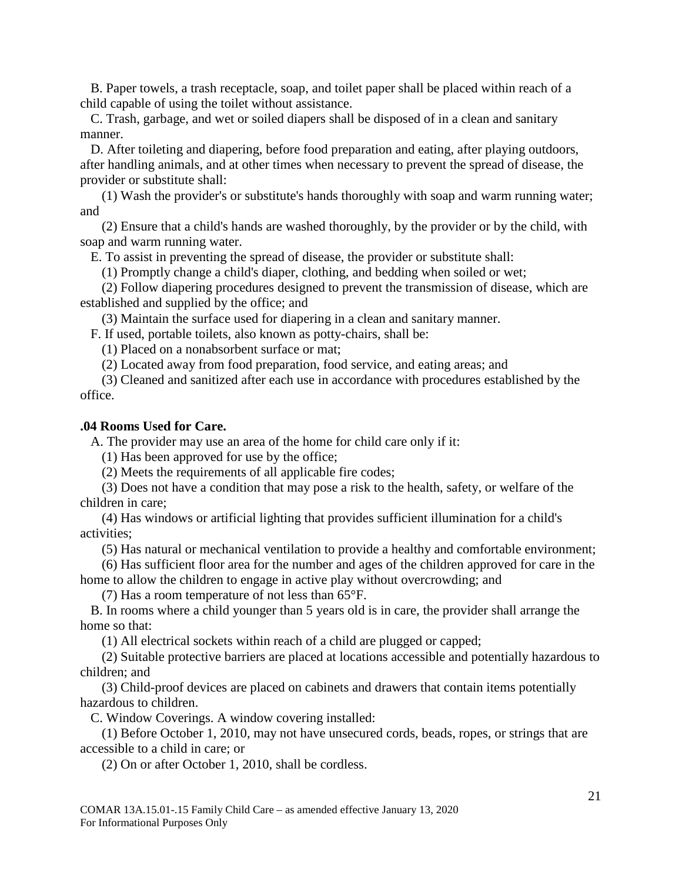B. Paper towels, a trash receptacle, soap, and toilet paper shall be placed within reach of a child capable of using the toilet without assistance.

C. Trash, garbage, and wet or soiled diapers shall be disposed of in a clean and sanitary manner.

D. After toileting and diapering, before food preparation and eating, after playing outdoors, after handling animals, and at other times when necessary to prevent the spread of disease, the provider or substitute shall:

(1) Wash the provider's or substitute's hands thoroughly with soap and warm running water; and

(2) Ensure that a child's hands are washed thoroughly, by the provider or by the child, with soap and warm running water.

E. To assist in preventing the spread of disease, the provider or substitute shall:

(1) Promptly change a child's diaper, clothing, and bedding when soiled or wet;

(2) Follow diapering procedures designed to prevent the transmission of disease, which are established and supplied by the office; and

(3) Maintain the surface used for diapering in a clean and sanitary manner.

F. If used, portable toilets, also known as potty-chairs, shall be:

(1) Placed on a nonabsorbent surface or mat;

(2) Located away from food preparation, food service, and eating areas; and

(3) Cleaned and sanitized after each use in accordance with procedures established by the office.

#### <span id="page-20-0"></span>**.04 Rooms Used for Care.**

A. The provider may use an area of the home for child care only if it:

(1) Has been approved for use by the office;

(2) Meets the requirements of all applicable fire codes;

(3) Does not have a condition that may pose a risk to the health, safety, or welfare of the children in care;

(4) Has windows or artificial lighting that provides sufficient illumination for a child's activities;

(5) Has natural or mechanical ventilation to provide a healthy and comfortable environment;

(6) Has sufficient floor area for the number and ages of the children approved for care in the home to allow the children to engage in active play without overcrowding; and

(7) Has a room temperature of not less than 65°F.

B. In rooms where a child younger than 5 years old is in care, the provider shall arrange the home so that:

(1) All electrical sockets within reach of a child are plugged or capped;

(2) Suitable protective barriers are placed at locations accessible and potentially hazardous to children; and

(3) Child-proof devices are placed on cabinets and drawers that contain items potentially hazardous to children.

C. Window Coverings. A window covering installed:

(1) Before October 1, 2010, may not have unsecured cords, beads, ropes, or strings that are accessible to a child in care; or

(2) On or after October 1, 2010, shall be cordless.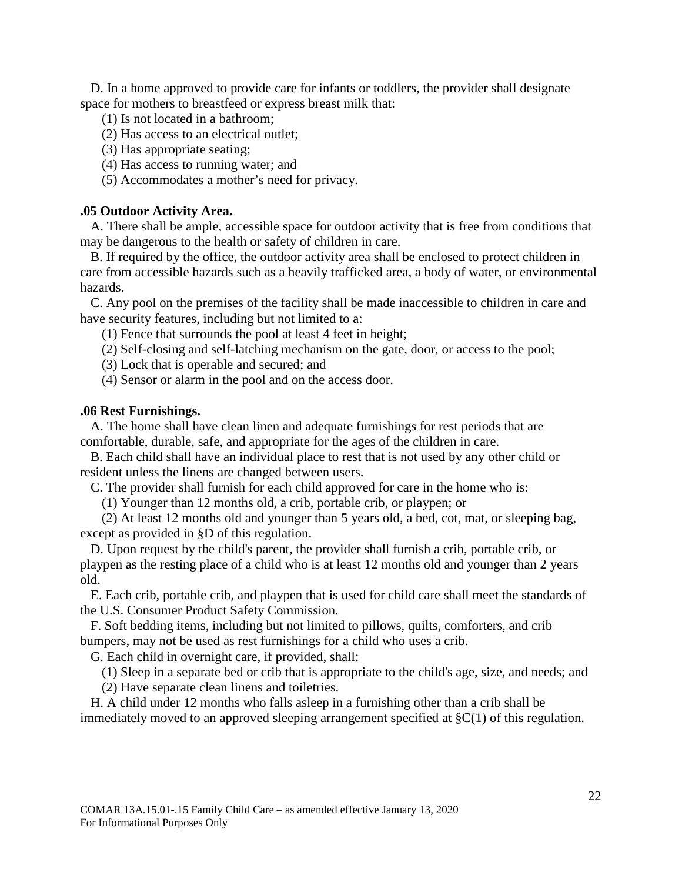D. In a home approved to provide care for infants or toddlers, the provider shall designate space for mothers to breastfeed or express breast milk that:

- (1) Is not located in a bathroom;
- (2) Has access to an electrical outlet;
- (3) Has appropriate seating;
- (4) Has access to running water; and

(5) Accommodates a mother's need for privacy.

## <span id="page-21-0"></span>**.05 Outdoor Activity Area.**

A. There shall be ample, accessible space for outdoor activity that is free from conditions that may be dangerous to the health or safety of children in care.

B. If required by the office, the outdoor activity area shall be enclosed to protect children in care from accessible hazards such as a heavily trafficked area, a body of water, or environmental hazards.

C. Any pool on the premises of the facility shall be made inaccessible to children in care and have security features, including but not limited to a:

(1) Fence that surrounds the pool at least 4 feet in height;

- (2) Self-closing and self-latching mechanism on the gate, door, or access to the pool;
- (3) Lock that is operable and secured; and
- (4) Sensor or alarm in the pool and on the access door.

## <span id="page-21-1"></span>**.06 Rest Furnishings.**

A. The home shall have clean linen and adequate furnishings for rest periods that are comfortable, durable, safe, and appropriate for the ages of the children in care.

B. Each child shall have an individual place to rest that is not used by any other child or resident unless the linens are changed between users.

C. The provider shall furnish for each child approved for care in the home who is:

(1) Younger than 12 months old, a crib, portable crib, or playpen; or

(2) At least 12 months old and younger than 5 years old, a bed, cot, mat, or sleeping bag, except as provided in §D of this regulation.

D. Upon request by the child's parent, the provider shall furnish a crib, portable crib, or playpen as the resting place of a child who is at least 12 months old and younger than 2 years old.

E. Each crib, portable crib, and playpen that is used for child care shall meet the standards of the U.S. Consumer Product Safety Commission.

F. Soft bedding items, including but not limited to pillows, quilts, comforters, and crib bumpers, may not be used as rest furnishings for a child who uses a crib.

G. Each child in overnight care, if provided, shall:

(1) Sleep in a separate bed or crib that is appropriate to the child's age, size, and needs; and

(2) Have separate clean linens and toiletries.

H. A child under 12 months who falls asleep in a furnishing other than a crib shall be immediately moved to an approved sleeping arrangement specified at §C(1) of this regulation.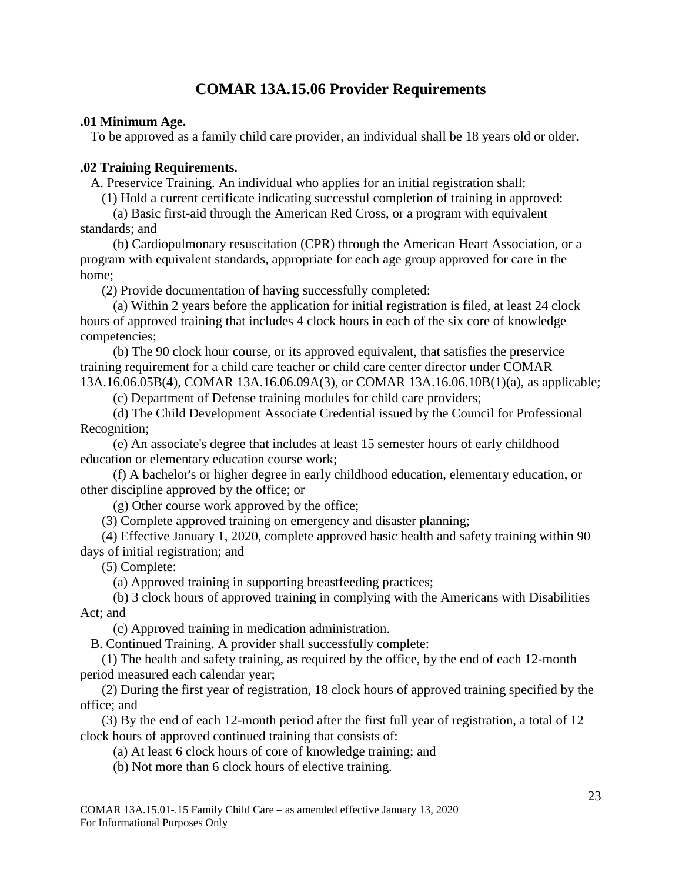## **COMAR 13A.15.06 Provider Requirements**

## <span id="page-22-1"></span><span id="page-22-0"></span>**.01 Minimum Age.**

To be approved as a family child care provider, an individual shall be 18 years old or older.

## <span id="page-22-2"></span>**.02 Training Requirements.**

A. Preservice Training. An individual who applies for an initial registration shall:

(1) Hold a current certificate indicating successful completion of training in approved:

(a) Basic first-aid through the American Red Cross, or a program with equivalent standards; and

(b) Cardiopulmonary resuscitation (CPR) through the American Heart Association, or a program with equivalent standards, appropriate for each age group approved for care in the home;

(2) Provide documentation of having successfully completed:

(a) Within 2 years before the application for initial registration is filed, at least 24 clock hours of approved training that includes 4 clock hours in each of the six core of knowledge competencies;

(b) The 90 clock hour course, or its approved equivalent, that satisfies the preservice training requirement for a child care teacher or child care center director under COMAR 13A.16.06.05B(4), COMAR 13A.16.06.09A(3), or COMAR 13A.16.06.10B(1)(a), as applicable;

(c) Department of Defense training modules for child care providers;

(d) The Child Development Associate Credential issued by the Council for Professional Recognition;

(e) An associate's degree that includes at least 15 semester hours of early childhood education or elementary education course work;

(f) A bachelor's or higher degree in early childhood education, elementary education, or other discipline approved by the office; or

(g) Other course work approved by the office;

(3) Complete approved training on emergency and disaster planning;

(4) Effective January 1, 2020, complete approved basic health and safety training within 90 days of initial registration; and

(5) Complete:

(a) Approved training in supporting breastfeeding practices;

(b) 3 clock hours of approved training in complying with the Americans with Disabilities Act; and

(c) Approved training in medication administration.

B. Continued Training. A provider shall successfully complete:

(1) The health and safety training, as required by the office, by the end of each 12-month period measured each calendar year;

(2) During the first year of registration, 18 clock hours of approved training specified by the office; and

(3) By the end of each 12-month period after the first full year of registration, a total of 12 clock hours of approved continued training that consists of:

(a) At least 6 clock hours of core of knowledge training; and

(b) Not more than 6 clock hours of elective training.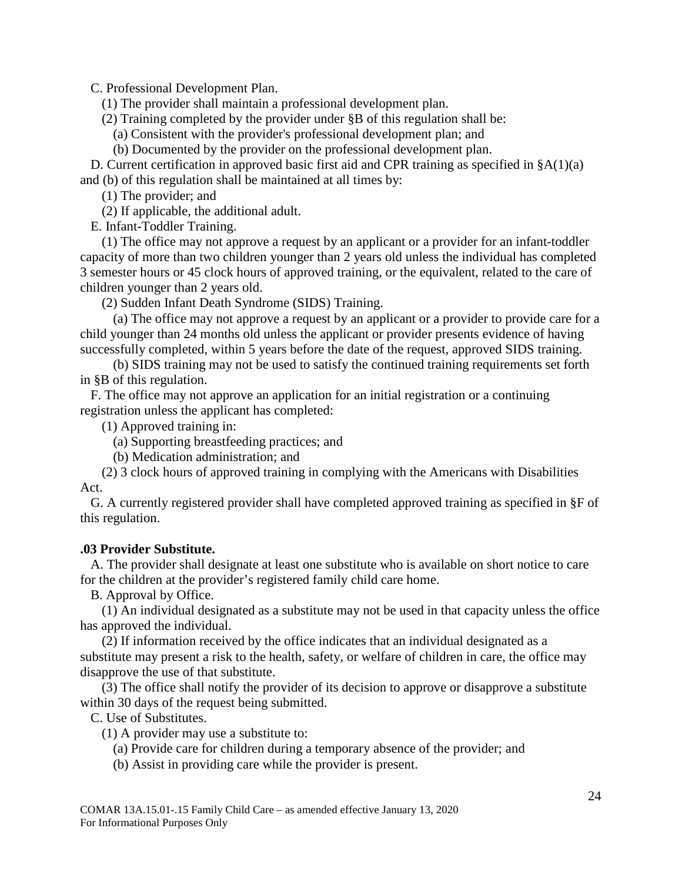C. Professional Development Plan.

(1) The provider shall maintain a professional development plan.

(2) Training completed by the provider under §B of this regulation shall be:

(a) Consistent with the provider's professional development plan; and

(b) Documented by the provider on the professional development plan.

D. Current certification in approved basic first aid and CPR training as specified in §A(1)(a) and (b) of this regulation shall be maintained at all times by:

(1) The provider; and

(2) If applicable, the additional adult.

E. Infant-Toddler Training.

(1) The office may not approve a request by an applicant or a provider for an infant-toddler capacity of more than two children younger than 2 years old unless the individual has completed 3 semester hours or 45 clock hours of approved training, or the equivalent, related to the care of children younger than 2 years old.

(2) Sudden Infant Death Syndrome (SIDS) Training.

(a) The office may not approve a request by an applicant or a provider to provide care for a child younger than 24 months old unless the applicant or provider presents evidence of having successfully completed, within 5 years before the date of the request, approved SIDS training.

(b) SIDS training may not be used to satisfy the continued training requirements set forth in §B of this regulation.

F. The office may not approve an application for an initial registration or a continuing registration unless the applicant has completed:

(1) Approved training in:

(a) Supporting breastfeeding practices; and

(b) Medication administration; and

(2) 3 clock hours of approved training in complying with the Americans with Disabilities Act.

G. A currently registered provider shall have completed approved training as specified in §F of this regulation.

## <span id="page-23-0"></span>**.03 Provider Substitute.**

A. The provider shall designate at least one substitute who is available on short notice to care for the children at the provider's registered family child care home.

B. Approval by Office.

(1) An individual designated as a substitute may not be used in that capacity unless the office has approved the individual.

(2) If information received by the office indicates that an individual designated as a substitute may present a risk to the health, safety, or welfare of children in care, the office may disapprove the use of that substitute.

(3) The office shall notify the provider of its decision to approve or disapprove a substitute within 30 days of the request being submitted.

C. Use of Substitutes.

(1) A provider may use a substitute to:

- (a) Provide care for children during a temporary absence of the provider; and
- (b) Assist in providing care while the provider is present.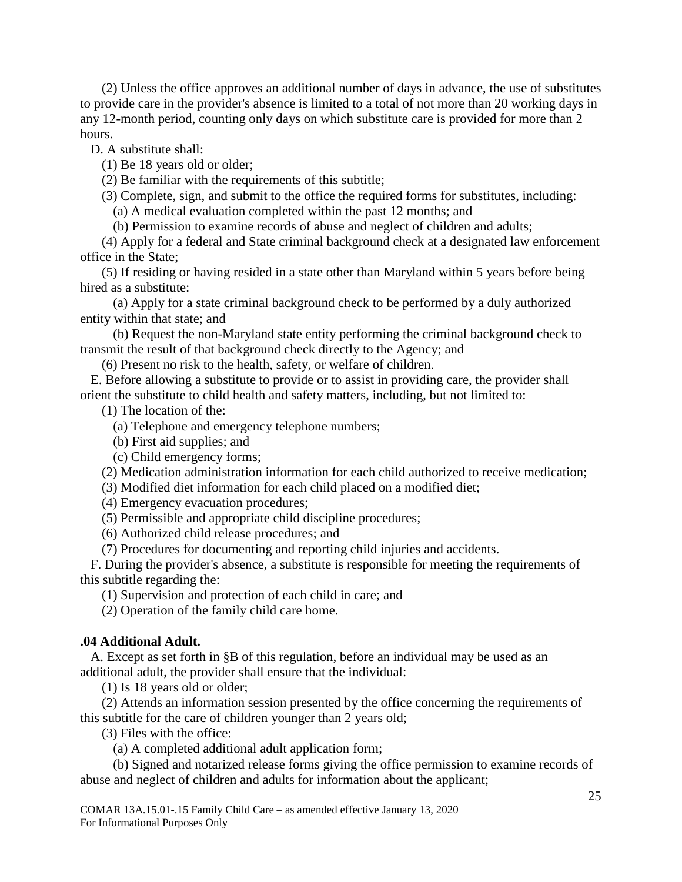(2) Unless the office approves an additional number of days in advance, the use of substitutes to provide care in the provider's absence is limited to a total of not more than 20 working days in any 12-month period, counting only days on which substitute care is provided for more than 2 hours.

D. A substitute shall:

(1) Be 18 years old or older;

(2) Be familiar with the requirements of this subtitle;

(3) Complete, sign, and submit to the office the required forms for substitutes, including:

(a) A medical evaluation completed within the past 12 months; and

(b) Permission to examine records of abuse and neglect of children and adults;

(4) Apply for a federal and State criminal background check at a designated law enforcement office in the State;

(5) If residing or having resided in a state other than Maryland within 5 years before being hired as a substitute:

(a) Apply for a state criminal background check to be performed by a duly authorized entity within that state; and

(b) Request the non-Maryland state entity performing the criminal background check to transmit the result of that background check directly to the Agency; and

(6) Present no risk to the health, safety, or welfare of children.

E. Before allowing a substitute to provide or to assist in providing care, the provider shall orient the substitute to child health and safety matters, including, but not limited to:

(1) The location of the:

(a) Telephone and emergency telephone numbers;

(b) First aid supplies; and

(c) Child emergency forms;

(2) Medication administration information for each child authorized to receive medication;

(3) Modified diet information for each child placed on a modified diet;

(4) Emergency evacuation procedures;

(5) Permissible and appropriate child discipline procedures;

(6) Authorized child release procedures; and

(7) Procedures for documenting and reporting child injuries and accidents.

F. During the provider's absence, a substitute is responsible for meeting the requirements of this subtitle regarding the:

(1) Supervision and protection of each child in care; and

(2) Operation of the family child care home.

## <span id="page-24-0"></span>**.04 Additional Adult.**

A. Except as set forth in §B of this regulation, before an individual may be used as an additional adult, the provider shall ensure that the individual:

(1) Is 18 years old or older;

(2) Attends an information session presented by the office concerning the requirements of this subtitle for the care of children younger than 2 years old;

(3) Files with the office:

(a) A completed additional adult application form;

(b) Signed and notarized release forms giving the office permission to examine records of abuse and neglect of children and adults for information about the applicant;

COMAR 13A.15.01-.15 Family Child Care – as amended effective January 13, 2020 For Informational Purposes Only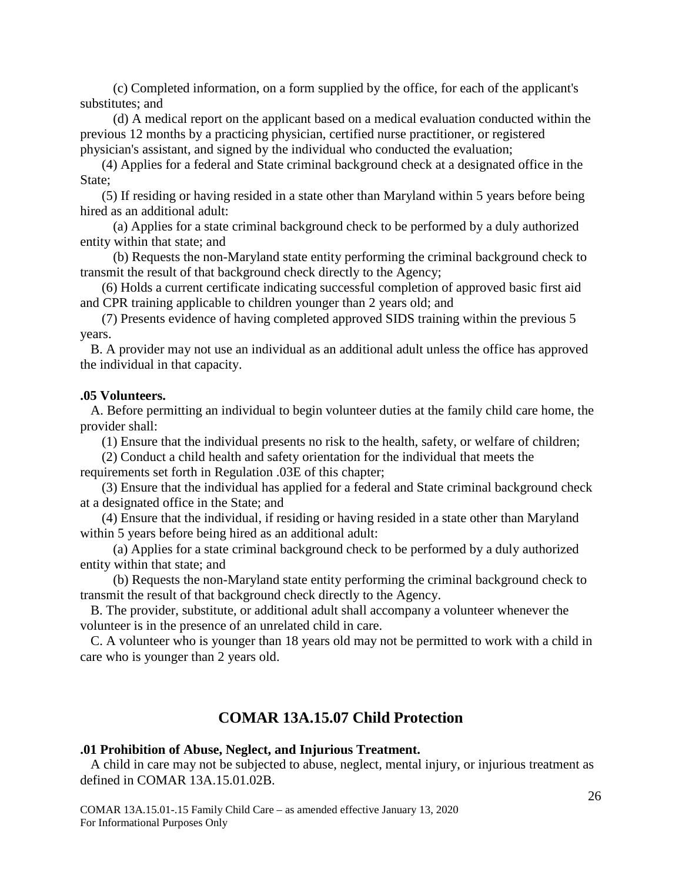(c) Completed information, on a form supplied by the office, for each of the applicant's substitutes; and

(d) A medical report on the applicant based on a medical evaluation conducted within the previous 12 months by a practicing physician, certified nurse practitioner, or registered physician's assistant, and signed by the individual who conducted the evaluation;

(4) Applies for a federal and State criminal background check at a designated office in the State:

(5) If residing or having resided in a state other than Maryland within 5 years before being hired as an additional adult:

(a) Applies for a state criminal background check to be performed by a duly authorized entity within that state; and

(b) Requests the non-Maryland state entity performing the criminal background check to transmit the result of that background check directly to the Agency;

(6) Holds a current certificate indicating successful completion of approved basic first aid and CPR training applicable to children younger than 2 years old; and

(7) Presents evidence of having completed approved SIDS training within the previous 5 years.

B. A provider may not use an individual as an additional adult unless the office has approved the individual in that capacity.

#### <span id="page-25-0"></span>**.05 Volunteers.**

A. Before permitting an individual to begin volunteer duties at the family child care home, the provider shall:

(1) Ensure that the individual presents no risk to the health, safety, or welfare of children;

(2) Conduct a child health and safety orientation for the individual that meets the requirements set forth in Regulation .03E of this chapter;

(3) Ensure that the individual has applied for a federal and State criminal background check at a designated office in the State; and

(4) Ensure that the individual, if residing or having resided in a state other than Maryland within 5 years before being hired as an additional adult:

(a) Applies for a state criminal background check to be performed by a duly authorized entity within that state; and

(b) Requests the non-Maryland state entity performing the criminal background check to transmit the result of that background check directly to the Agency.

B. The provider, substitute, or additional adult shall accompany a volunteer whenever the volunteer is in the presence of an unrelated child in care.

C. A volunteer who is younger than 18 years old may not be permitted to work with a child in care who is younger than 2 years old.

## **COMAR 13A.15.07 Child Protection**

#### <span id="page-25-2"></span><span id="page-25-1"></span>**.01 Prohibition of Abuse, Neglect, and Injurious Treatment.**

A child in care may not be subjected to abuse, neglect, mental injury, or injurious treatment as defined in COMAR 13A.15.01.02B.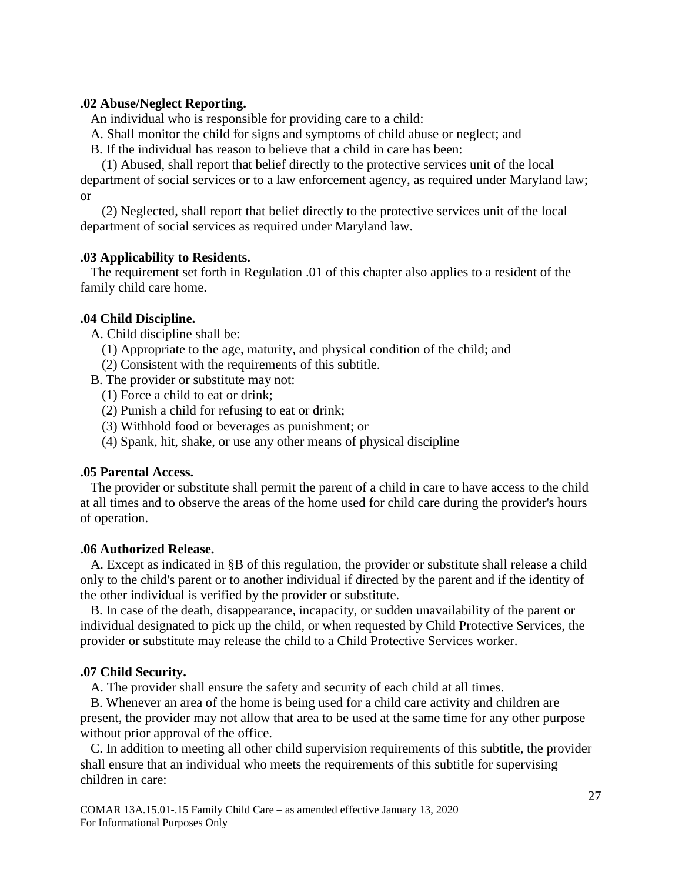## <span id="page-26-0"></span>**.02 Abuse/Neglect Reporting.**

An individual who is responsible for providing care to a child:

A. Shall monitor the child for signs and symptoms of child abuse or neglect; and

B. If the individual has reason to believe that a child in care has been:

(1) Abused, shall report that belief directly to the protective services unit of the local department of social services or to a law enforcement agency, as required under Maryland law; or

(2) Neglected, shall report that belief directly to the protective services unit of the local department of social services as required under Maryland law.

#### <span id="page-26-1"></span>**.03 Applicability to Residents.**

The requirement set forth in Regulation .01 of this chapter also applies to a resident of the family child care home.

#### <span id="page-26-2"></span>**.04 Child Discipline.**

A. Child discipline shall be:

- (1) Appropriate to the age, maturity, and physical condition of the child; and
- (2) Consistent with the requirements of this subtitle.
- B. The provider or substitute may not:
	- (1) Force a child to eat or drink;
	- (2) Punish a child for refusing to eat or drink;
	- (3) Withhold food or beverages as punishment; or
	- (4) Spank, hit, shake, or use any other means of physical discipline

#### <span id="page-26-3"></span>**.05 Parental Access.**

The provider or substitute shall permit the parent of a child in care to have access to the child at all times and to observe the areas of the home used for child care during the provider's hours of operation.

#### <span id="page-26-4"></span>**.06 Authorized Release.**

A. Except as indicated in §B of this regulation, the provider or substitute shall release a child only to the child's parent or to another individual if directed by the parent and if the identity of the other individual is verified by the provider or substitute.

B. In case of the death, disappearance, incapacity, or sudden unavailability of the parent or individual designated to pick up the child, or when requested by Child Protective Services, the provider or substitute may release the child to a Child Protective Services worker.

#### <span id="page-26-5"></span>**.07 Child Security.**

A. The provider shall ensure the safety and security of each child at all times.

B. Whenever an area of the home is being used for a child care activity and children are present, the provider may not allow that area to be used at the same time for any other purpose without prior approval of the office.

C. In addition to meeting all other child supervision requirements of this subtitle, the provider shall ensure that an individual who meets the requirements of this subtitle for supervising children in care: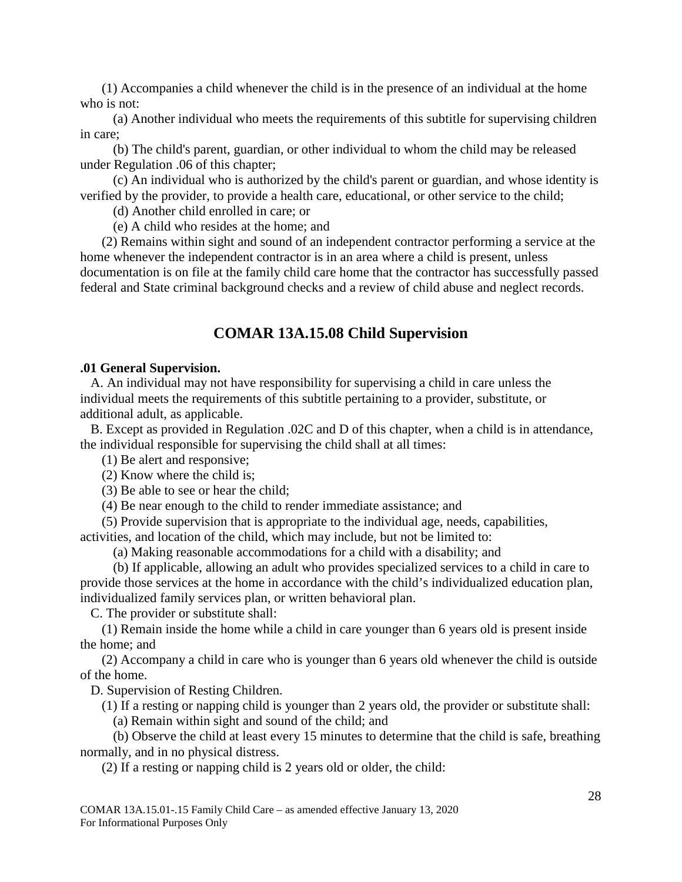(1) Accompanies a child whenever the child is in the presence of an individual at the home who is not:

(a) Another individual who meets the requirements of this subtitle for supervising children in care;

(b) The child's parent, guardian, or other individual to whom the child may be released under Regulation .06 of this chapter;

(c) An individual who is authorized by the child's parent or guardian, and whose identity is verified by the provider, to provide a health care, educational, or other service to the child;

(d) Another child enrolled in care; or

(e) A child who resides at the home; and

(2) Remains within sight and sound of an independent contractor performing a service at the home whenever the independent contractor is in an area where a child is present, unless documentation is on file at the family child care home that the contractor has successfully passed federal and State criminal background checks and a review of child abuse and neglect records.

## **COMAR 13A.15.08 Child Supervision**

#### <span id="page-27-1"></span><span id="page-27-0"></span>**.01 General Supervision.**

A. An individual may not have responsibility for supervising a child in care unless the individual meets the requirements of this subtitle pertaining to a provider, substitute, or additional adult, as applicable.

B. Except as provided in Regulation .02C and D of this chapter, when a child is in attendance, the individual responsible for supervising the child shall at all times:

(1) Be alert and responsive;

(2) Know where the child is;

(3) Be able to see or hear the child;

(4) Be near enough to the child to render immediate assistance; and

(5) Provide supervision that is appropriate to the individual age, needs, capabilities, activities, and location of the child, which may include, but not be limited to:

(a) Making reasonable accommodations for a child with a disability; and

(b) If applicable, allowing an adult who provides specialized services to a child in care to provide those services at the home in accordance with the child's individualized education plan, individualized family services plan, or written behavioral plan.

C. The provider or substitute shall:

(1) Remain inside the home while a child in care younger than 6 years old is present inside the home; and

(2) Accompany a child in care who is younger than 6 years old whenever the child is outside of the home.

D. Supervision of Resting Children.

(1) If a resting or napping child is younger than 2 years old, the provider or substitute shall:

(a) Remain within sight and sound of the child; and

(b) Observe the child at least every 15 minutes to determine that the child is safe, breathing normally, and in no physical distress.

(2) If a resting or napping child is 2 years old or older, the child: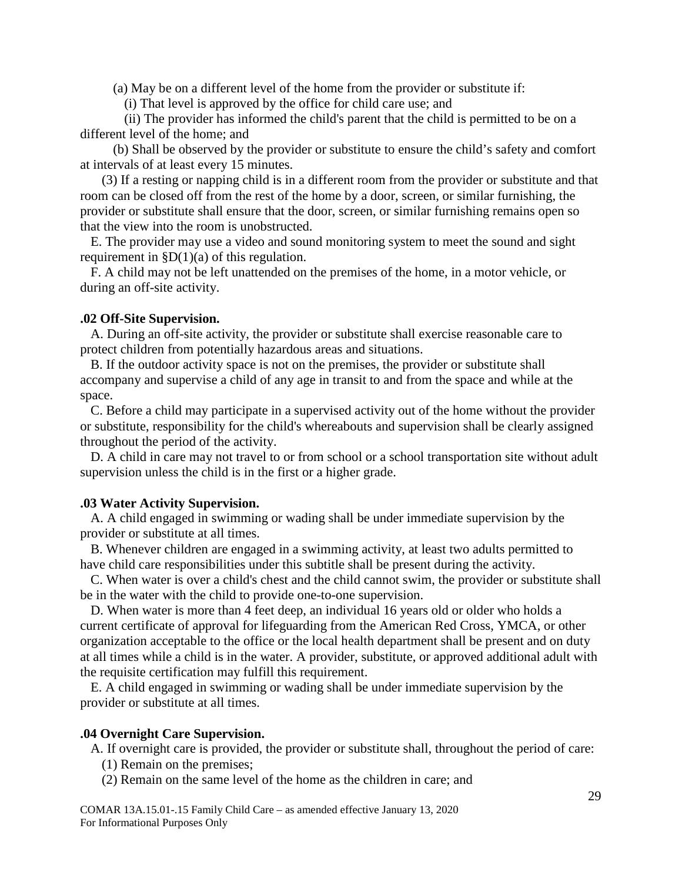(a) May be on a different level of the home from the provider or substitute if:

(i) That level is approved by the office for child care use; and

(ii) The provider has informed the child's parent that the child is permitted to be on a different level of the home; and

(b) Shall be observed by the provider or substitute to ensure the child's safety and comfort at intervals of at least every 15 minutes.

(3) If a resting or napping child is in a different room from the provider or substitute and that room can be closed off from the rest of the home by a door, screen, or similar furnishing, the provider or substitute shall ensure that the door, screen, or similar furnishing remains open so that the view into the room is unobstructed.

E. The provider may use a video and sound monitoring system to meet the sound and sight requirement in  $D(1)(a)$  of this regulation.

F. A child may not be left unattended on the premises of the home, in a motor vehicle, or during an off-site activity.

#### <span id="page-28-0"></span>**.02 Off-Site Supervision.**

A. During an off-site activity, the provider or substitute shall exercise reasonable care to protect children from potentially hazardous areas and situations.

B. If the outdoor activity space is not on the premises, the provider or substitute shall accompany and supervise a child of any age in transit to and from the space and while at the space.

C. Before a child may participate in a supervised activity out of the home without the provider or substitute, responsibility for the child's whereabouts and supervision shall be clearly assigned throughout the period of the activity.

D. A child in care may not travel to or from school or a school transportation site without adult supervision unless the child is in the first or a higher grade.

#### <span id="page-28-1"></span>**.03 Water Activity Supervision.**

A. A child engaged in swimming or wading shall be under immediate supervision by the provider or substitute at all times.

B. Whenever children are engaged in a swimming activity, at least two adults permitted to have child care responsibilities under this subtitle shall be present during the activity.

C. When water is over a child's chest and the child cannot swim, the provider or substitute shall be in the water with the child to provide one-to-one supervision.

D. When water is more than 4 feet deep, an individual 16 years old or older who holds a current certificate of approval for lifeguarding from the American Red Cross, YMCA, or other organization acceptable to the office or the local health department shall be present and on duty at all times while a child is in the water. A provider, substitute, or approved additional adult with the requisite certification may fulfill this requirement.

E. A child engaged in swimming or wading shall be under immediate supervision by the provider or substitute at all times.

#### <span id="page-28-2"></span>**.04 Overnight Care Supervision.**

- A. If overnight care is provided, the provider or substitute shall, throughout the period of care:
	- (1) Remain on the premises;
	- (2) Remain on the same level of the home as the children in care; and

COMAR 13A.15.01-.15 Family Child Care – as amended effective January 13, 2020 For Informational Purposes Only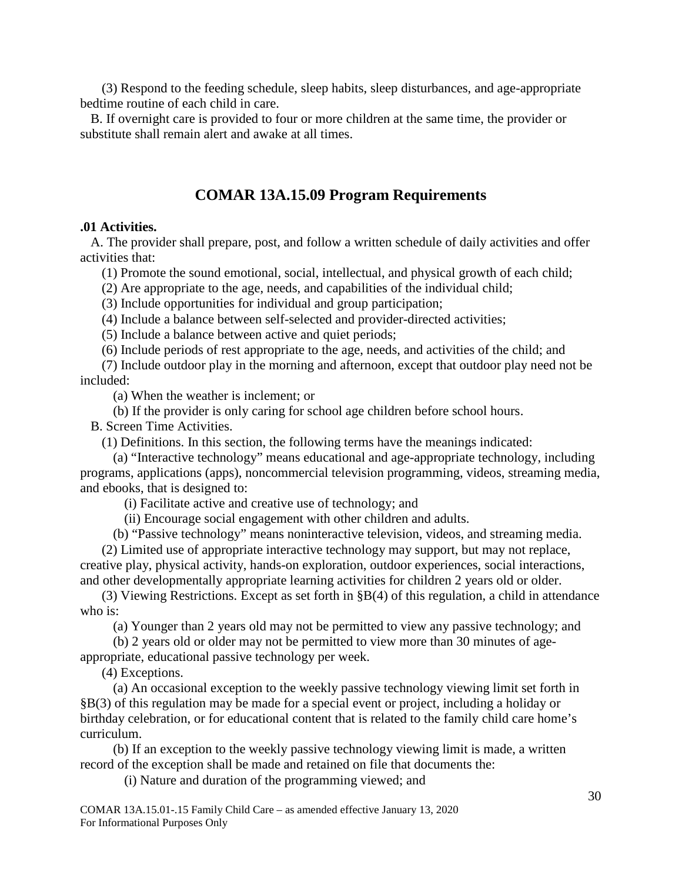(3) Respond to the feeding schedule, sleep habits, sleep disturbances, and age-appropriate bedtime routine of each child in care.

B. If overnight care is provided to four or more children at the same time, the provider or substitute shall remain alert and awake at all times.

## **COMAR 13A.15.09 Program Requirements**

#### <span id="page-29-1"></span><span id="page-29-0"></span>**.01 Activities.**

A. The provider shall prepare, post, and follow a written schedule of daily activities and offer activities that:

(1) Promote the sound emotional, social, intellectual, and physical growth of each child;

(2) Are appropriate to the age, needs, and capabilities of the individual child;

(3) Include opportunities for individual and group participation;

(4) Include a balance between self-selected and provider-directed activities;

(5) Include a balance between active and quiet periods;

(6) Include periods of rest appropriate to the age, needs, and activities of the child; and

(7) Include outdoor play in the morning and afternoon, except that outdoor play need not be included:

(a) When the weather is inclement; or

(b) If the provider is only caring for school age children before school hours.

B. Screen Time Activities.

(1) Definitions. In this section, the following terms have the meanings indicated:

(a) "Interactive technology" means educational and age-appropriate technology, including programs, applications (apps), noncommercial television programming, videos, streaming media, and ebooks, that is designed to:

(i) Facilitate active and creative use of technology; and

(ii) Encourage social engagement with other children and adults.

(b) "Passive technology" means noninteractive television, videos, and streaming media.

(2) Limited use of appropriate interactive technology may support, but may not replace, creative play, physical activity, hands-on exploration, outdoor experiences, social interactions, and other developmentally appropriate learning activities for children 2 years old or older.

(3) Viewing Restrictions. Except as set forth in §B(4) of this regulation, a child in attendance who is:

(a) Younger than 2 years old may not be permitted to view any passive technology; and

(b) 2 years old or older may not be permitted to view more than 30 minutes of age-

appropriate, educational passive technology per week.

(4) Exceptions.

(a) An occasional exception to the weekly passive technology viewing limit set forth in §B(3) of this regulation may be made for a special event or project, including a holiday or birthday celebration, or for educational content that is related to the family child care home's curriculum.

(b) If an exception to the weekly passive technology viewing limit is made, a written record of the exception shall be made and retained on file that documents the:

(i) Nature and duration of the programming viewed; and

COMAR 13A.15.01-.15 Family Child Care – as amended effective January 13, 2020 For Informational Purposes Only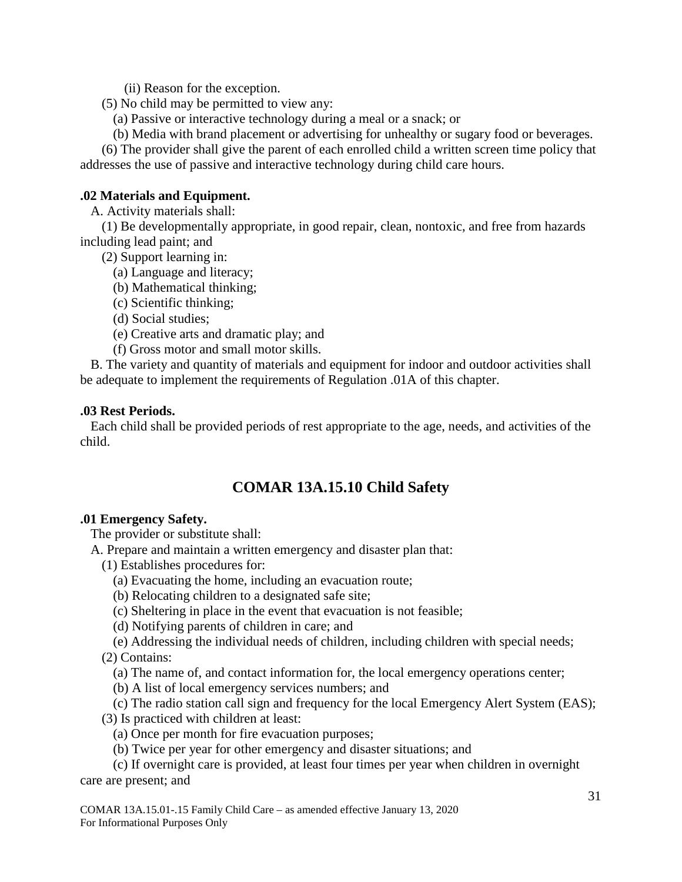(ii) Reason for the exception.

(5) No child may be permitted to view any:

(a) Passive or interactive technology during a meal or a snack; or

(b) Media with brand placement or advertising for unhealthy or sugary food or beverages.

(6) The provider shall give the parent of each enrolled child a written screen time policy that addresses the use of passive and interactive technology during child care hours.

## <span id="page-30-0"></span>**.02 Materials and Equipment.**

A. Activity materials shall:

(1) Be developmentally appropriate, in good repair, clean, nontoxic, and free from hazards including lead paint; and

(2) Support learning in:

- (a) Language and literacy;
- (b) Mathematical thinking;
- (c) Scientific thinking;
- (d) Social studies;
- (e) Creative arts and dramatic play; and
- (f) Gross motor and small motor skills.

B. The variety and quantity of materials and equipment for indoor and outdoor activities shall be adequate to implement the requirements of Regulation .01A of this chapter.

## <span id="page-30-1"></span>**.03 Rest Periods.**

<span id="page-30-2"></span>Each child shall be provided periods of rest appropriate to the age, needs, and activities of the child.

## **COMAR 13A.15.10 Child Safety**

## <span id="page-30-3"></span>**.01 Emergency Safety.**

The provider or substitute shall:

A. Prepare and maintain a written emergency and disaster plan that:

- (1) Establishes procedures for:
	- (a) Evacuating the home, including an evacuation route;
	- (b) Relocating children to a designated safe site;
	- (c) Sheltering in place in the event that evacuation is not feasible;
	- (d) Notifying parents of children in care; and
- (e) Addressing the individual needs of children, including children with special needs; (2) Contains:
	- (a) The name of, and contact information for, the local emergency operations center;
	- (b) A list of local emergency services numbers; and

## (c) The radio station call sign and frequency for the local Emergency Alert System (EAS);

- (3) Is practiced with children at least:
	- (a) Once per month for fire evacuation purposes;
	- (b) Twice per year for other emergency and disaster situations; and

(c) If overnight care is provided, at least four times per year when children in overnight care are present; and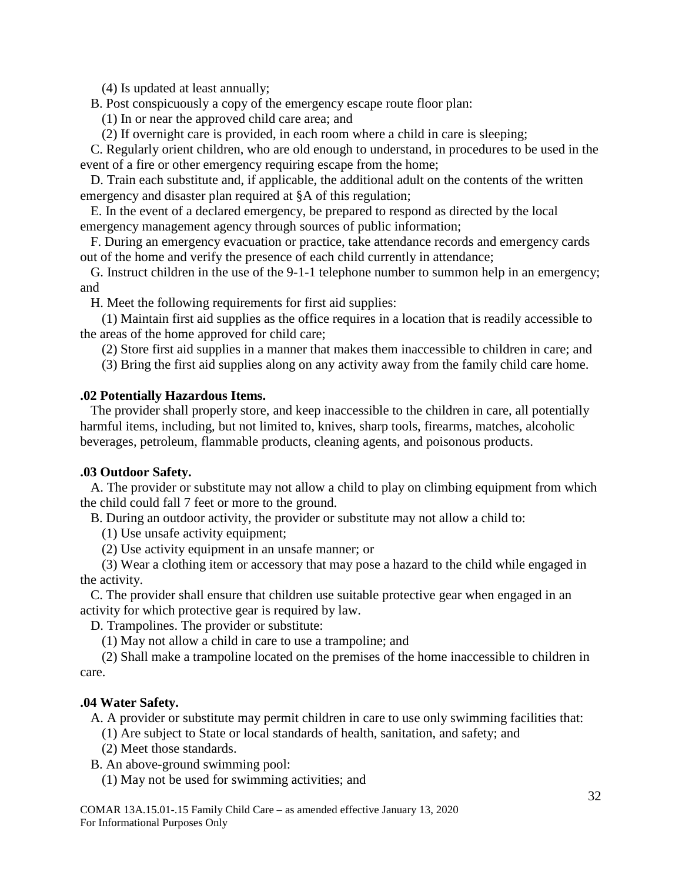(4) Is updated at least annually;

B. Post conspicuously a copy of the emergency escape route floor plan:

- (1) In or near the approved child care area; and
- (2) If overnight care is provided, in each room where a child in care is sleeping;

C. Regularly orient children, who are old enough to understand, in procedures to be used in the event of a fire or other emergency requiring escape from the home;

D. Train each substitute and, if applicable, the additional adult on the contents of the written emergency and disaster plan required at §A of this regulation;

E. In the event of a declared emergency, be prepared to respond as directed by the local emergency management agency through sources of public information;

F. During an emergency evacuation or practice, take attendance records and emergency cards out of the home and verify the presence of each child currently in attendance;

G. Instruct children in the use of the 9-1-1 telephone number to summon help in an emergency; and

H. Meet the following requirements for first aid supplies:

(1) Maintain first aid supplies as the office requires in a location that is readily accessible to the areas of the home approved for child care;

(2) Store first aid supplies in a manner that makes them inaccessible to children in care; and

(3) Bring the first aid supplies along on any activity away from the family child care home.

## <span id="page-31-0"></span>**.02 Potentially Hazardous Items.**

The provider shall properly store, and keep inaccessible to the children in care, all potentially harmful items, including, but not limited to, knives, sharp tools, firearms, matches, alcoholic beverages, petroleum, flammable products, cleaning agents, and poisonous products.

## <span id="page-31-1"></span>**.03 Outdoor Safety.**

A. The provider or substitute may not allow a child to play on climbing equipment from which the child could fall 7 feet or more to the ground.

B. During an outdoor activity, the provider or substitute may not allow a child to:

(1) Use unsafe activity equipment;

(2) Use activity equipment in an unsafe manner; or

(3) Wear a clothing item or accessory that may pose a hazard to the child while engaged in the activity.

C. The provider shall ensure that children use suitable protective gear when engaged in an activity for which protective gear is required by law.

D. Trampolines. The provider or substitute:

(1) May not allow a child in care to use a trampoline; and

(2) Shall make a trampoline located on the premises of the home inaccessible to children in care.

## <span id="page-31-2"></span>**.04 Water Safety.**

A. A provider or substitute may permit children in care to use only swimming facilities that:

(1) Are subject to State or local standards of health, sanitation, and safety; and

(2) Meet those standards.

B. An above-ground swimming pool:

(1) May not be used for swimming activities; and

COMAR 13A.15.01-.15 Family Child Care – as amended effective January 13, 2020 For Informational Purposes Only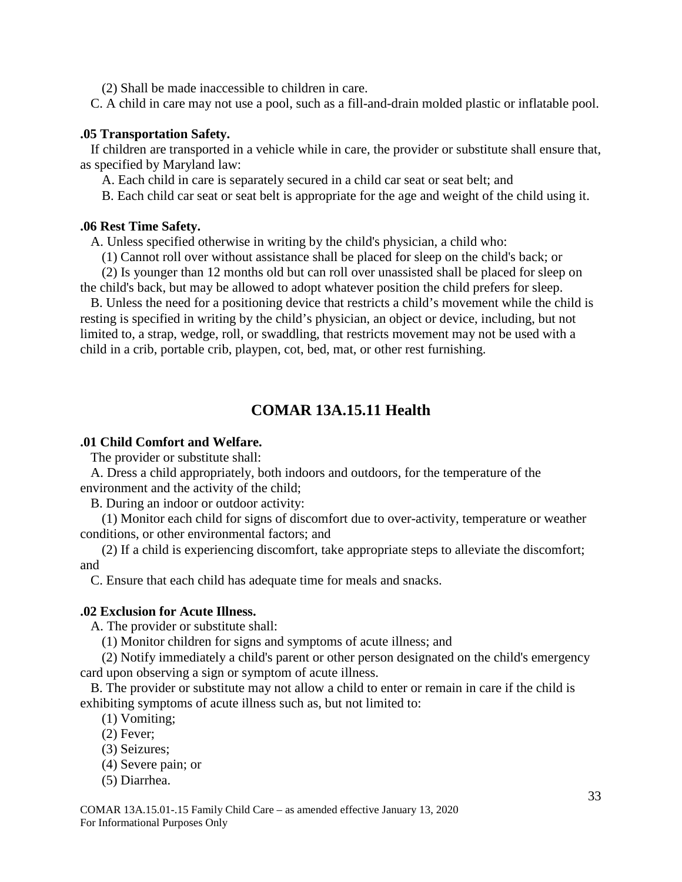(2) Shall be made inaccessible to children in care.

C. A child in care may not use a pool, such as a fill-and-drain molded plastic or inflatable pool.

## <span id="page-32-0"></span>**.05 Transportation Safety.**

If children are transported in a vehicle while in care, the provider or substitute shall ensure that, as specified by Maryland law:

A. Each child in care is separately secured in a child car seat or seat belt; and

B. Each child car seat or seat belt is appropriate for the age and weight of the child using it.

## <span id="page-32-1"></span>**.06 Rest Time Safety.**

A. Unless specified otherwise in writing by the child's physician, a child who:

(1) Cannot roll over without assistance shall be placed for sleep on the child's back; or

(2) Is younger than 12 months old but can roll over unassisted shall be placed for sleep on the child's back, but may be allowed to adopt whatever position the child prefers for sleep.

B. Unless the need for a positioning device that restricts a child's movement while the child is resting is specified in writing by the child's physician, an object or device, including, but not limited to, a strap, wedge, roll, or swaddling, that restricts movement may not be used with a child in a crib, portable crib, playpen, cot, bed, mat, or other rest furnishing.

## **COMAR 13A.15.11 Health**

## <span id="page-32-3"></span><span id="page-32-2"></span>**.01 Child Comfort and Welfare.**

The provider or substitute shall:

A. Dress a child appropriately, both indoors and outdoors, for the temperature of the environment and the activity of the child;

B. During an indoor or outdoor activity:

(1) Monitor each child for signs of discomfort due to over-activity, temperature or weather conditions, or other environmental factors; and

(2) If a child is experiencing discomfort, take appropriate steps to alleviate the discomfort; and

C. Ensure that each child has adequate time for meals and snacks.

## <span id="page-32-4"></span>**.02 Exclusion for Acute Illness.**

A. The provider or substitute shall:

(1) Monitor children for signs and symptoms of acute illness; and

(2) Notify immediately a child's parent or other person designated on the child's emergency card upon observing a sign or symptom of acute illness.

B. The provider or substitute may not allow a child to enter or remain in care if the child is exhibiting symptoms of acute illness such as, but not limited to:

- (1) Vomiting;
- (2) Fever;
- (3) Seizures;
- (4) Severe pain; or
- (5) Diarrhea.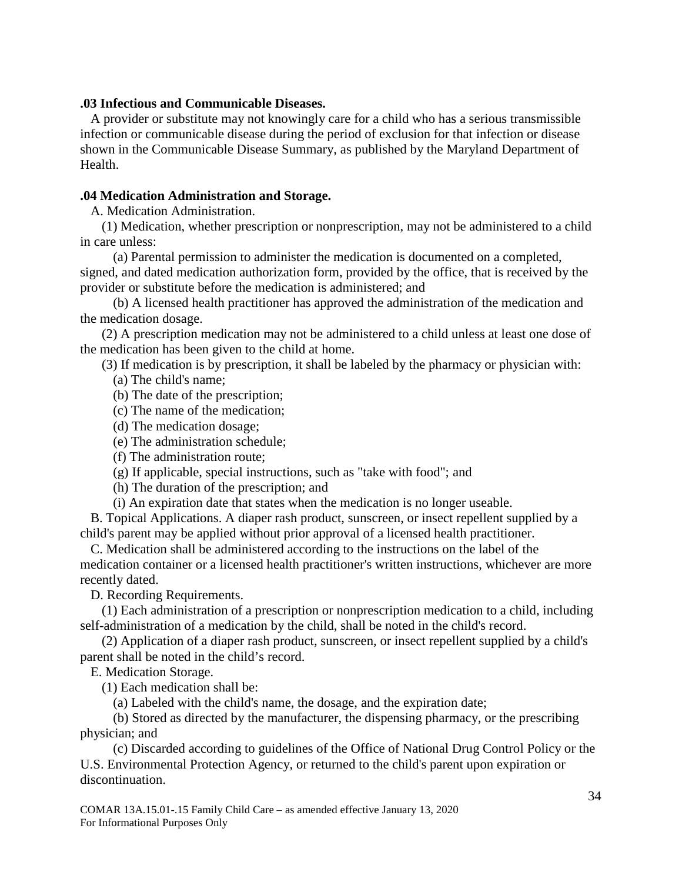## <span id="page-33-0"></span>**.03 Infectious and Communicable Diseases.**

A provider or substitute may not knowingly care for a child who has a serious transmissible infection or communicable disease during the period of exclusion for that infection or disease shown in the Communicable Disease Summary, as published by the Maryland Department of Health.

### <span id="page-33-1"></span>**.04 Medication Administration and Storage.**

A. Medication Administration.

(1) Medication, whether prescription or nonprescription, may not be administered to a child in care unless:

(a) Parental permission to administer the medication is documented on a completed, signed, and dated medication authorization form, provided by the office, that is received by the provider or substitute before the medication is administered; and

(b) A licensed health practitioner has approved the administration of the medication and the medication dosage.

(2) A prescription medication may not be administered to a child unless at least one dose of the medication has been given to the child at home.

(3) If medication is by prescription, it shall be labeled by the pharmacy or physician with:

(a) The child's name;

(b) The date of the prescription;

- (c) The name of the medication;
- (d) The medication dosage;
- (e) The administration schedule;
- (f) The administration route;
- (g) If applicable, special instructions, such as "take with food"; and
- (h) The duration of the prescription; and
- (i) An expiration date that states when the medication is no longer useable.

B. Topical Applications. A diaper rash product, sunscreen, or insect repellent supplied by a child's parent may be applied without prior approval of a licensed health practitioner.

C. Medication shall be administered according to the instructions on the label of the medication container or a licensed health practitioner's written instructions, whichever are more recently dated.

D. Recording Requirements.

(1) Each administration of a prescription or nonprescription medication to a child, including self-administration of a medication by the child, shall be noted in the child's record.

(2) Application of a diaper rash product, sunscreen, or insect repellent supplied by a child's parent shall be noted in the child's record.

E. Medication Storage.

(1) Each medication shall be:

(a) Labeled with the child's name, the dosage, and the expiration date;

(b) Stored as directed by the manufacturer, the dispensing pharmacy, or the prescribing physician; and

(c) Discarded according to guidelines of the Office of National Drug Control Policy or the U.S. Environmental Protection Agency, or returned to the child's parent upon expiration or discontinuation.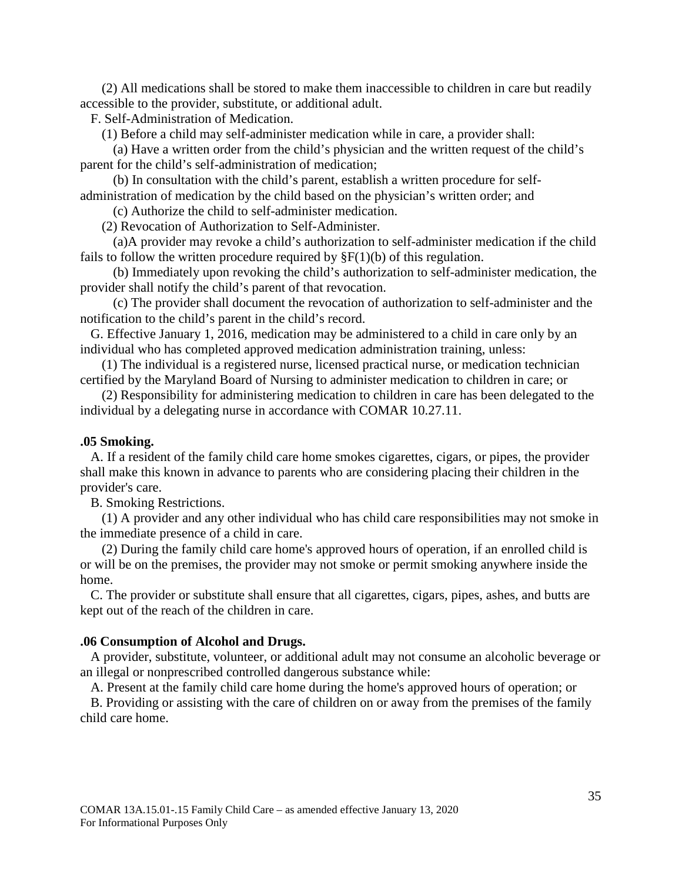(2) All medications shall be stored to make them inaccessible to children in care but readily accessible to the provider, substitute, or additional adult.

F. Self-Administration of Medication.

(1) Before a child may self-administer medication while in care, a provider shall:

(a) Have a written order from the child's physician and the written request of the child's parent for the child's self-administration of medication;

(b) In consultation with the child's parent, establish a written procedure for selfadministration of medication by the child based on the physician's written order; and

(c) Authorize the child to self-administer medication.

(2) Revocation of Authorization to Self-Administer.

(a)A provider may revoke a child's authorization to self-administer medication if the child fails to follow the written procedure required by  $\S F(1)(b)$  of this regulation.

(b) Immediately upon revoking the child's authorization to self-administer medication, the provider shall notify the child's parent of that revocation.

(c) The provider shall document the revocation of authorization to self-administer and the notification to the child's parent in the child's record.

G. Effective January 1, 2016, medication may be administered to a child in care only by an individual who has completed approved medication administration training, unless:

(1) The individual is a registered nurse, licensed practical nurse, or medication technician certified by the Maryland Board of Nursing to administer medication to children in care; or

(2) Responsibility for administering medication to children in care has been delegated to the individual by a delegating nurse in accordance with COMAR 10.27.11.

#### <span id="page-34-0"></span>**.05 Smoking.**

A. If a resident of the family child care home smokes cigarettes, cigars, or pipes, the provider shall make this known in advance to parents who are considering placing their children in the provider's care.

B. Smoking Restrictions.

(1) A provider and any other individual who has child care responsibilities may not smoke in the immediate presence of a child in care.

(2) During the family child care home's approved hours of operation, if an enrolled child is or will be on the premises, the provider may not smoke or permit smoking anywhere inside the home.

C. The provider or substitute shall ensure that all cigarettes, cigars, pipes, ashes, and butts are kept out of the reach of the children in care.

#### <span id="page-34-1"></span>**.06 Consumption of Alcohol and Drugs.**

A provider, substitute, volunteer, or additional adult may not consume an alcoholic beverage or an illegal or nonprescribed controlled dangerous substance while:

A. Present at the family child care home during the home's approved hours of operation; or

B. Providing or assisting with the care of children on or away from the premises of the family child care home.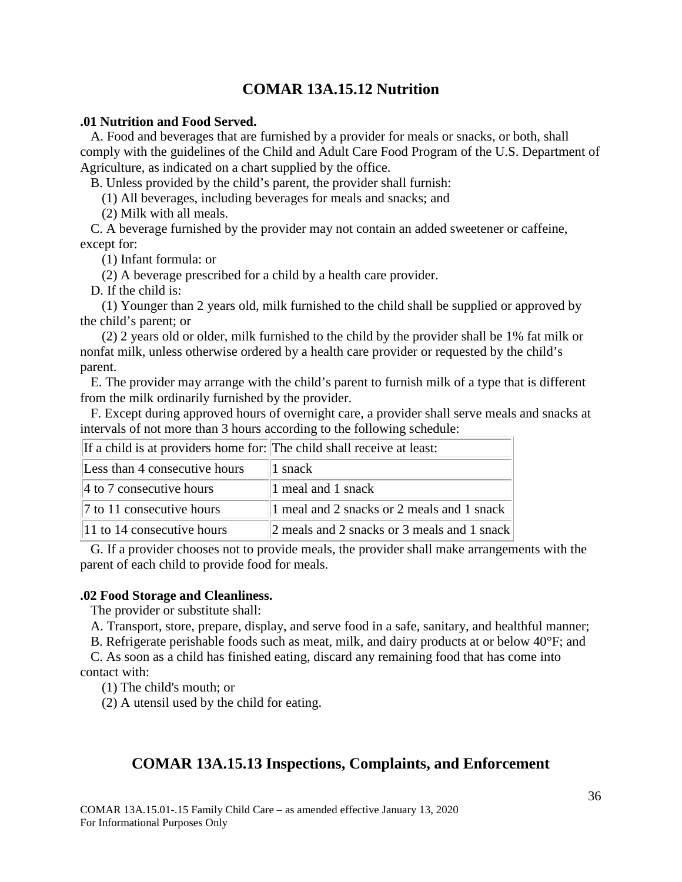## **COMAR 13A.15.12 Nutrition**

## <span id="page-35-1"></span><span id="page-35-0"></span>**.01 Nutrition and Food Served.**

A. Food and beverages that are furnished by a provider for meals or snacks, or both, shall comply with the guidelines of the Child and Adult Care Food Program of the U.S. Department of Agriculture, as indicated on a chart supplied by the office.

B. Unless provided by the child's parent, the provider shall furnish:

(1) All beverages, including beverages for meals and snacks; and

(2) Milk with all meals.

C. A beverage furnished by the provider may not contain an added sweetener or caffeine, except for:

(1) Infant formula: or

(2) A beverage prescribed for a child by a health care provider.

D. If the child is:

(1) Younger than 2 years old, milk furnished to the child shall be supplied or approved by the child's parent; or

(2) 2 years old or older, milk furnished to the child by the provider shall be 1% fat milk or nonfat milk, unless otherwise ordered by a health care provider or requested by the child's parent.

E. The provider may arrange with the child's parent to furnish milk of a type that is different from the milk ordinarily furnished by the provider.

F. Except during approved hours of overnight care, a provider shall serve meals and snacks at intervals of not more than 3 hours according to the following schedule:

| If a child is at providers home for: The child shall receive at least: |                                             |
|------------------------------------------------------------------------|---------------------------------------------|
| Less than 4 consecutive hours                                          | 1 snack                                     |
| $\vert$ 4 to 7 consecutive hours                                       | 1 meal and 1 snack                          |
| $\vert$ 7 to 11 consecutive hours                                      | 1 meal and 2 snacks or 2 meals and 1 snack  |
| $\parallel$ 11 to 14 consecutive hours                                 | 2 meals and 2 snacks or 3 meals and 1 snack |

G. If a provider chooses not to provide meals, the provider shall make arrangements with the parent of each child to provide food for meals.

## <span id="page-35-2"></span>**.02 Food Storage and Cleanliness.**

The provider or substitute shall:

A. Transport, store, prepare, display, and serve food in a safe, sanitary, and healthful manner;

B. Refrigerate perishable foods such as meat, milk, and dairy products at or below 40°F; and

C. As soon as a child has finished eating, discard any remaining food that has come into contact with:

(1) The child's mouth; or

<span id="page-35-3"></span>(2) A utensil used by the child for eating.

## **COMAR 13A.15.13 Inspections, Complaints, and Enforcement**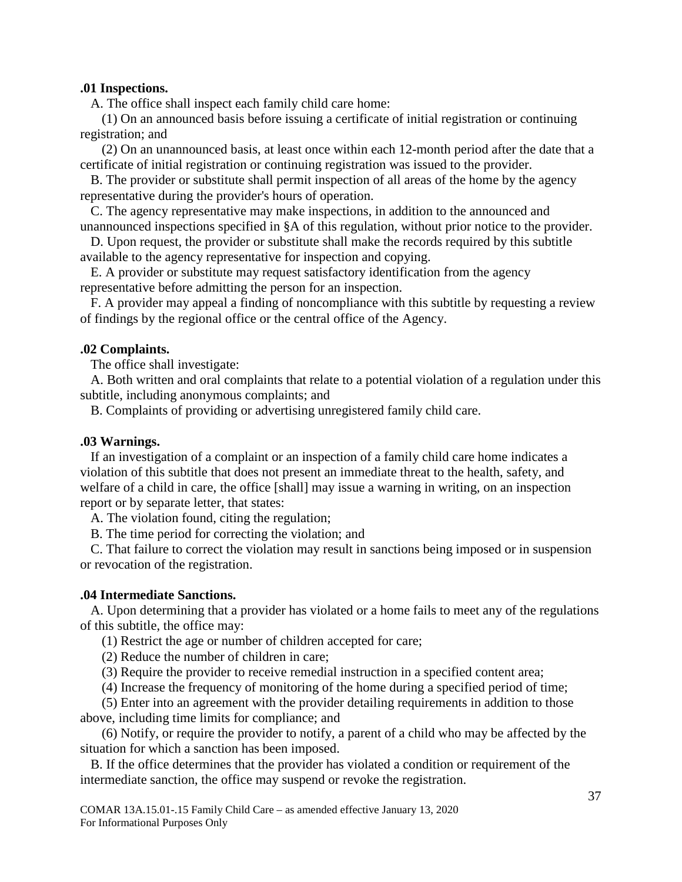### <span id="page-36-0"></span>**.01 Inspections.**

A. The office shall inspect each family child care home:

(1) On an announced basis before issuing a certificate of initial registration or continuing registration; and

(2) On an unannounced basis, at least once within each 12-month period after the date that a certificate of initial registration or continuing registration was issued to the provider.

B. The provider or substitute shall permit inspection of all areas of the home by the agency representative during the provider's hours of operation.

C. The agency representative may make inspections, in addition to the announced and unannounced inspections specified in §A of this regulation, without prior notice to the provider.

D. Upon request, the provider or substitute shall make the records required by this subtitle available to the agency representative for inspection and copying.

E. A provider or substitute may request satisfactory identification from the agency representative before admitting the person for an inspection.

F. A provider may appeal a finding of noncompliance with this subtitle by requesting a review of findings by the regional office or the central office of the Agency.

## <span id="page-36-1"></span>**.02 Complaints.**

The office shall investigate:

A. Both written and oral complaints that relate to a potential violation of a regulation under this subtitle, including anonymous complaints; and

B. Complaints of providing or advertising unregistered family child care.

#### <span id="page-36-2"></span>**.03 Warnings.**

If an investigation of a complaint or an inspection of a family child care home indicates a violation of this subtitle that does not present an immediate threat to the health, safety, and welfare of a child in care, the office [shall] may issue a warning in writing, on an inspection report or by separate letter, that states:

A. The violation found, citing the regulation;

B. The time period for correcting the violation; and

C. That failure to correct the violation may result in sanctions being imposed or in suspension or revocation of the registration.

#### <span id="page-36-3"></span>**.04 Intermediate Sanctions.**

A. Upon determining that a provider has violated or a home fails to meet any of the regulations of this subtitle, the office may:

(1) Restrict the age or number of children accepted for care;

(2) Reduce the number of children in care;

(3) Require the provider to receive remedial instruction in a specified content area;

(4) Increase the frequency of monitoring of the home during a specified period of time;

(5) Enter into an agreement with the provider detailing requirements in addition to those above, including time limits for compliance; and

(6) Notify, or require the provider to notify, a parent of a child who may be affected by the situation for which a sanction has been imposed.

B. If the office determines that the provider has violated a condition or requirement of the intermediate sanction, the office may suspend or revoke the registration.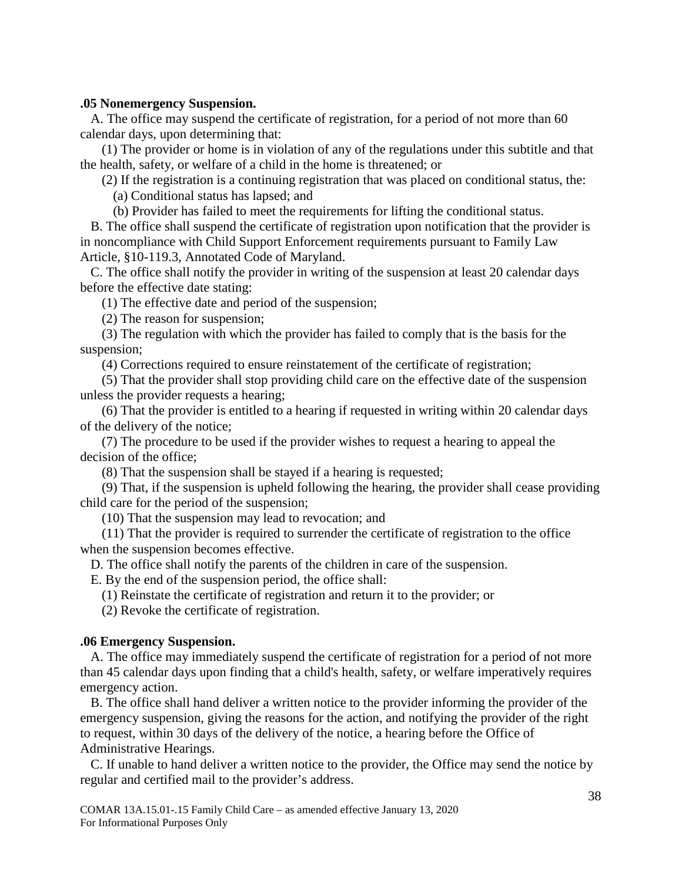### <span id="page-37-0"></span>**.05 Nonemergency Suspension.**

A. The office may suspend the certificate of registration, for a period of not more than 60 calendar days, upon determining that:

(1) The provider or home is in violation of any of the regulations under this subtitle and that the health, safety, or welfare of a child in the home is threatened; or

(2) If the registration is a continuing registration that was placed on conditional status, the: (a) Conditional status has lapsed; and

(b) Provider has failed to meet the requirements for lifting the conditional status.

B. The office shall suspend the certificate of registration upon notification that the provider is in noncompliance with Child Support Enforcement requirements pursuant to Family Law Article, §10-119.3, Annotated Code of Maryland.

C. The office shall notify the provider in writing of the suspension at least 20 calendar days before the effective date stating:

(1) The effective date and period of the suspension;

(2) The reason for suspension;

(3) The regulation with which the provider has failed to comply that is the basis for the suspension;

(4) Corrections required to ensure reinstatement of the certificate of registration;

(5) That the provider shall stop providing child care on the effective date of the suspension unless the provider requests a hearing;

(6) That the provider is entitled to a hearing if requested in writing within 20 calendar days of the delivery of the notice;

(7) The procedure to be used if the provider wishes to request a hearing to appeal the decision of the office;

(8) That the suspension shall be stayed if a hearing is requested;

(9) That, if the suspension is upheld following the hearing, the provider shall cease providing child care for the period of the suspension;

(10) That the suspension may lead to revocation; and

(11) That the provider is required to surrender the certificate of registration to the office when the suspension becomes effective.

D. The office shall notify the parents of the children in care of the suspension.

E. By the end of the suspension period, the office shall:

(1) Reinstate the certificate of registration and return it to the provider; or

(2) Revoke the certificate of registration.

#### <span id="page-37-1"></span>**.06 Emergency Suspension.**

A. The office may immediately suspend the certificate of registration for a period of not more than 45 calendar days upon finding that a child's health, safety, or welfare imperatively requires emergency action.

B. The office shall hand deliver a written notice to the provider informing the provider of the emergency suspension, giving the reasons for the action, and notifying the provider of the right to request, within 30 days of the delivery of the notice, a hearing before the Office of Administrative Hearings.

C. If unable to hand deliver a written notice to the provider, the Office may send the notice by regular and certified mail to the provider's address.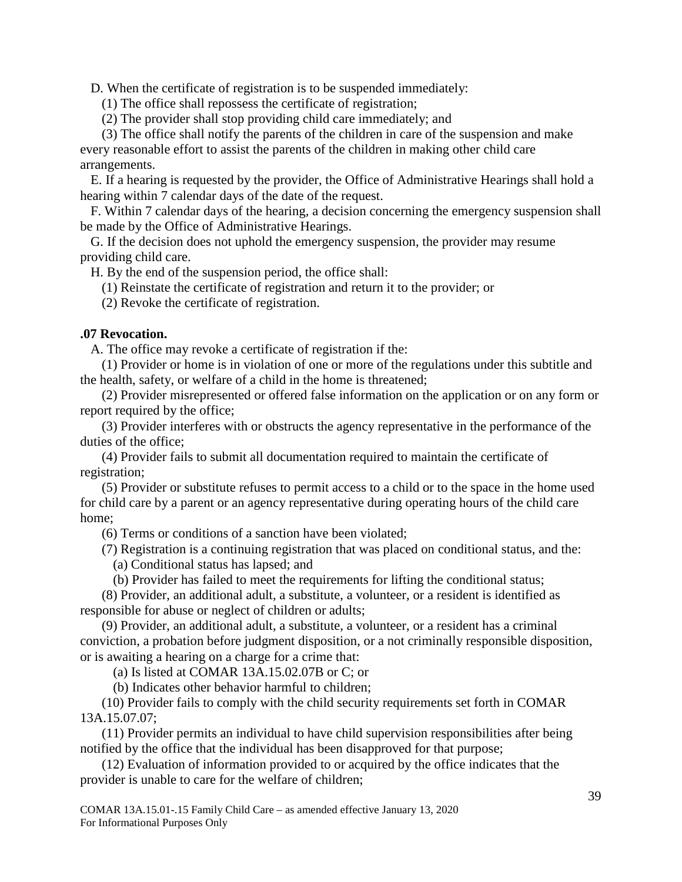D. When the certificate of registration is to be suspended immediately:

(1) The office shall repossess the certificate of registration;

(2) The provider shall stop providing child care immediately; and

(3) The office shall notify the parents of the children in care of the suspension and make every reasonable effort to assist the parents of the children in making other child care arrangements.

E. If a hearing is requested by the provider, the Office of Administrative Hearings shall hold a hearing within 7 calendar days of the date of the request.

F. Within 7 calendar days of the hearing, a decision concerning the emergency suspension shall be made by the Office of Administrative Hearings.

G. If the decision does not uphold the emergency suspension, the provider may resume providing child care.

H. By the end of the suspension period, the office shall:

(1) Reinstate the certificate of registration and return it to the provider; or

(2) Revoke the certificate of registration.

## <span id="page-38-0"></span>**.07 Revocation.**

A. The office may revoke a certificate of registration if the:

(1) Provider or home is in violation of one or more of the regulations under this subtitle and the health, safety, or welfare of a child in the home is threatened;

(2) Provider misrepresented or offered false information on the application or on any form or report required by the office;

(3) Provider interferes with or obstructs the agency representative in the performance of the duties of the office;

(4) Provider fails to submit all documentation required to maintain the certificate of registration;

(5) Provider or substitute refuses to permit access to a child or to the space in the home used for child care by a parent or an agency representative during operating hours of the child care home;

(6) Terms or conditions of a sanction have been violated;

(7) Registration is a continuing registration that was placed on conditional status, and the:

(a) Conditional status has lapsed; and

(b) Provider has failed to meet the requirements for lifting the conditional status;

(8) Provider, an additional adult, a substitute, a volunteer, or a resident is identified as responsible for abuse or neglect of children or adults;

(9) Provider, an additional adult, a substitute, a volunteer, or a resident has a criminal conviction, a probation before judgment disposition, or a not criminally responsible disposition, or is awaiting a hearing on a charge for a crime that:

(a) Is listed at COMAR 13A.15.02.07B or C; or

(b) Indicates other behavior harmful to children;

(10) Provider fails to comply with the child security requirements set forth in COMAR 13A.15.07.07;

(11) Provider permits an individual to have child supervision responsibilities after being notified by the office that the individual has been disapproved for that purpose;

(12) Evaluation of information provided to or acquired by the office indicates that the provider is unable to care for the welfare of children;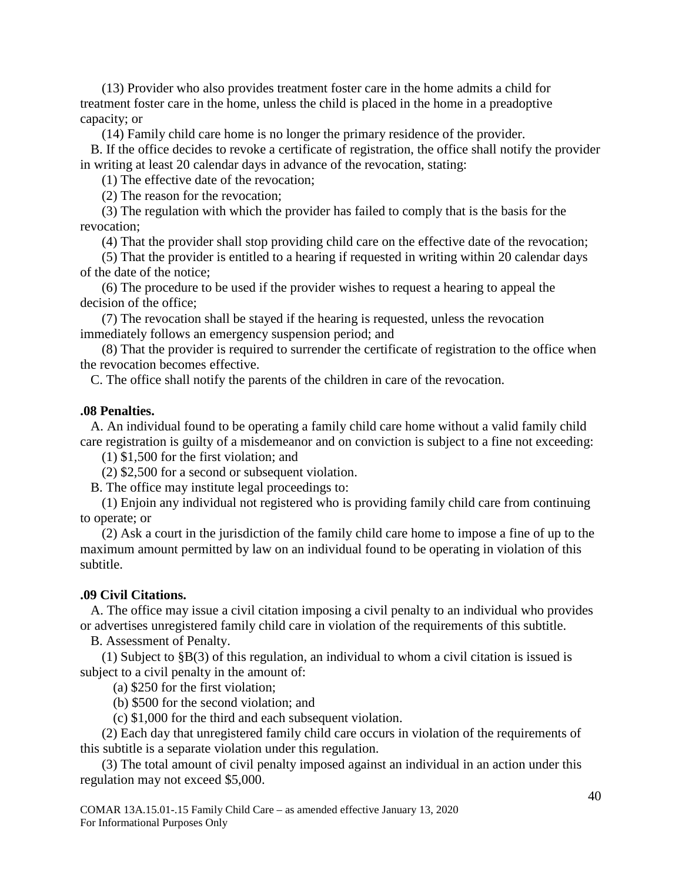(13) Provider who also provides treatment foster care in the home admits a child for treatment foster care in the home, unless the child is placed in the home in a preadoptive capacity; or

(14) Family child care home is no longer the primary residence of the provider.

B. If the office decides to revoke a certificate of registration, the office shall notify the provider in writing at least 20 calendar days in advance of the revocation, stating:

(1) The effective date of the revocation;

(2) The reason for the revocation;

(3) The regulation with which the provider has failed to comply that is the basis for the revocation;

(4) That the provider shall stop providing child care on the effective date of the revocation;

(5) That the provider is entitled to a hearing if requested in writing within 20 calendar days of the date of the notice;

(6) The procedure to be used if the provider wishes to request a hearing to appeal the decision of the office;

(7) The revocation shall be stayed if the hearing is requested, unless the revocation immediately follows an emergency suspension period; and

(8) That the provider is required to surrender the certificate of registration to the office when the revocation becomes effective.

C. The office shall notify the parents of the children in care of the revocation.

### <span id="page-39-0"></span>**.08 Penalties.**

A. An individual found to be operating a family child care home without a valid family child care registration is guilty of a misdemeanor and on conviction is subject to a fine not exceeding:

(1) \$1,500 for the first violation; and

(2) \$2,500 for a second or subsequent violation.

B. The office may institute legal proceedings to:

(1) Enjoin any individual not registered who is providing family child care from continuing to operate; or

(2) Ask a court in the jurisdiction of the family child care home to impose a fine of up to the maximum amount permitted by law on an individual found to be operating in violation of this subtitle.

## <span id="page-39-1"></span>**.09 Civil Citations.**

A. The office may issue a civil citation imposing a civil penalty to an individual who provides or advertises unregistered family child care in violation of the requirements of this subtitle.

B. Assessment of Penalty.

(1) Subject to §B(3) of this regulation, an individual to whom a civil citation is issued is subject to a civil penalty in the amount of:

(a) \$250 for the first violation;

(b) \$500 for the second violation; and

(c) \$1,000 for the third and each subsequent violation.

(2) Each day that unregistered family child care occurs in violation of the requirements of this subtitle is a separate violation under this regulation.

(3) The total amount of civil penalty imposed against an individual in an action under this regulation may not exceed \$5,000.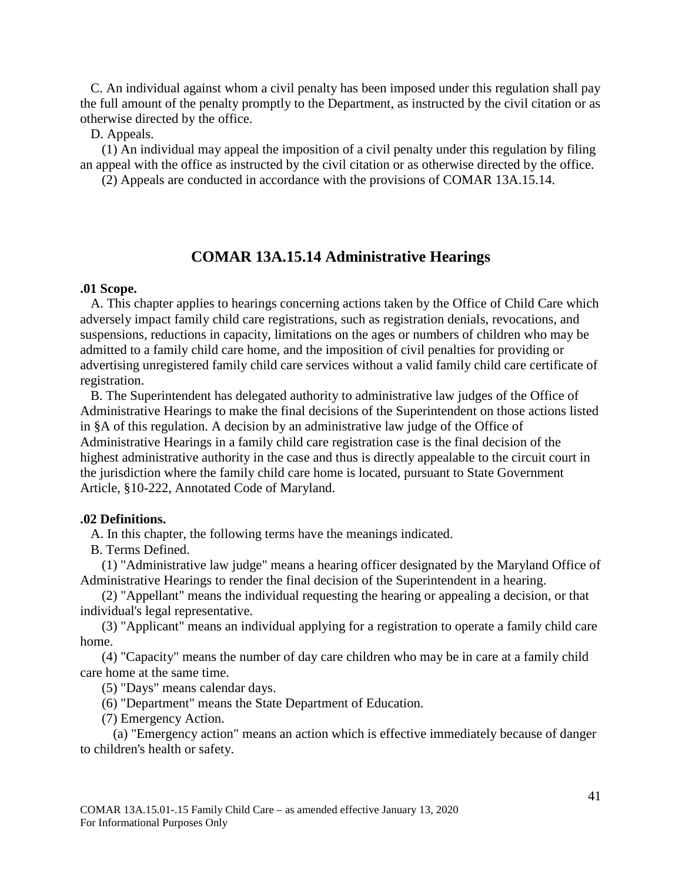C. An individual against whom a civil penalty has been imposed under this regulation shall pay the full amount of the penalty promptly to the Department, as instructed by the civil citation or as otherwise directed by the office.

D. Appeals.

(1) An individual may appeal the imposition of a civil penalty under this regulation by filing an appeal with the office as instructed by the civil citation or as otherwise directed by the office.

(2) Appeals are conducted in accordance with the provisions of COMAR 13A.15.14.

## **COMAR 13A.15.14 Administrative Hearings**

#### <span id="page-40-1"></span><span id="page-40-0"></span>**.01 Scope.**

A. This chapter applies to hearings concerning actions taken by the Office of Child Care which adversely impact family child care registrations, such as registration denials, revocations, and suspensions, reductions in capacity, limitations on the ages or numbers of children who may be admitted to a family child care home, and the imposition of civil penalties for providing or advertising unregistered family child care services without a valid family child care certificate of registration.

B. The Superintendent has delegated authority to administrative law judges of the Office of Administrative Hearings to make the final decisions of the Superintendent on those actions listed in §A of this regulation. A decision by an administrative law judge of the Office of Administrative Hearings in a family child care registration case is the final decision of the highest administrative authority in the case and thus is directly appealable to the circuit court in the jurisdiction where the family child care home is located, pursuant to State Government Article, §10-222, Annotated Code of Maryland.

#### <span id="page-40-2"></span>**.02 Definitions.**

A. In this chapter, the following terms have the meanings indicated.

B. Terms Defined.

(1) "Administrative law judge" means a hearing officer designated by the Maryland Office of Administrative Hearings to render the final decision of the Superintendent in a hearing.

(2) "Appellant" means the individual requesting the hearing or appealing a decision, or that individual's legal representative.

(3) "Applicant" means an individual applying for a registration to operate a family child care home.

(4) "Capacity" means the number of day care children who may be in care at a family child care home at the same time.

(5) "Days" means calendar days.

(6) "Department" means the State Department of Education.

(7) Emergency Action.

(a) "Emergency action" means an action which is effective immediately because of danger to children's health or safety.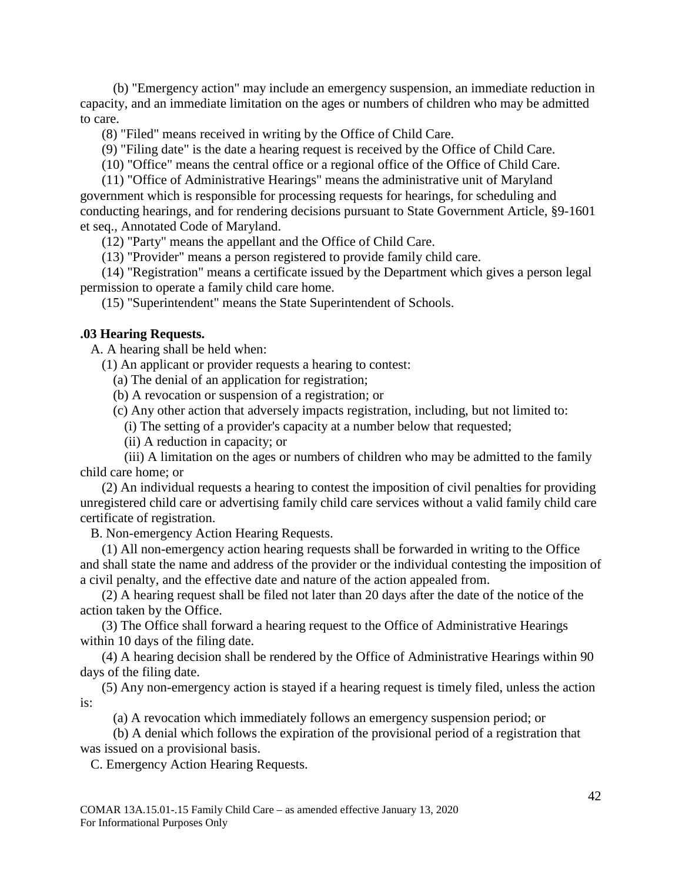(b) "Emergency action" may include an emergency suspension, an immediate reduction in capacity, and an immediate limitation on the ages or numbers of children who may be admitted to care.

(8) "Filed" means received in writing by the Office of Child Care.

(9) "Filing date" is the date a hearing request is received by the Office of Child Care.

(10) "Office" means the central office or a regional office of the Office of Child Care.

(11) "Office of Administrative Hearings" means the administrative unit of Maryland government which is responsible for processing requests for hearings, for scheduling and conducting hearings, and for rendering decisions pursuant to State Government Article, §9-1601 et seq., Annotated Code of Maryland.

(12) "Party" means the appellant and the Office of Child Care.

(13) "Provider" means a person registered to provide family child care.

(14) "Registration" means a certificate issued by the Department which gives a person legal permission to operate a family child care home.

(15) "Superintendent" means the State Superintendent of Schools.

#### <span id="page-41-0"></span>**.03 Hearing Requests.**

A. A hearing shall be held when:

(1) An applicant or provider requests a hearing to contest:

(a) The denial of an application for registration;

(b) A revocation or suspension of a registration; or

(c) Any other action that adversely impacts registration, including, but not limited to:

(i) The setting of a provider's capacity at a number below that requested;

(ii) A reduction in capacity; or

(iii) A limitation on the ages or numbers of children who may be admitted to the family child care home; or

(2) An individual requests a hearing to contest the imposition of civil penalties for providing unregistered child care or advertising family child care services without a valid family child care certificate of registration.

B. Non-emergency Action Hearing Requests.

(1) All non-emergency action hearing requests shall be forwarded in writing to the Office and shall state the name and address of the provider or the individual contesting the imposition of a civil penalty, and the effective date and nature of the action appealed from.

(2) A hearing request shall be filed not later than 20 days after the date of the notice of the action taken by the Office.

(3) The Office shall forward a hearing request to the Office of Administrative Hearings within 10 days of the filing date.

(4) A hearing decision shall be rendered by the Office of Administrative Hearings within 90 days of the filing date.

(5) Any non-emergency action is stayed if a hearing request is timely filed, unless the action is:

(a) A revocation which immediately follows an emergency suspension period; or

(b) A denial which follows the expiration of the provisional period of a registration that was issued on a provisional basis.

C. Emergency Action Hearing Requests.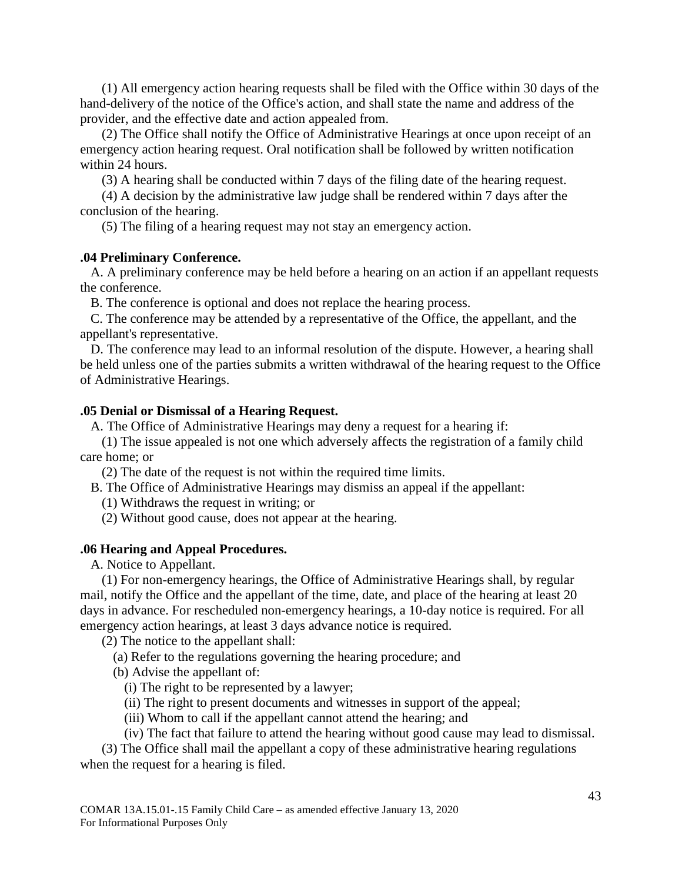(1) All emergency action hearing requests shall be filed with the Office within 30 days of the hand-delivery of the notice of the Office's action, and shall state the name and address of the provider, and the effective date and action appealed from.

(2) The Office shall notify the Office of Administrative Hearings at once upon receipt of an emergency action hearing request. Oral notification shall be followed by written notification within 24 hours.

(3) A hearing shall be conducted within 7 days of the filing date of the hearing request.

(4) A decision by the administrative law judge shall be rendered within 7 days after the conclusion of the hearing.

(5) The filing of a hearing request may not stay an emergency action.

## <span id="page-42-0"></span>**.04 Preliminary Conference.**

A. A preliminary conference may be held before a hearing on an action if an appellant requests the conference.

B. The conference is optional and does not replace the hearing process.

C. The conference may be attended by a representative of the Office, the appellant, and the appellant's representative.

D. The conference may lead to an informal resolution of the dispute. However, a hearing shall be held unless one of the parties submits a written withdrawal of the hearing request to the Office of Administrative Hearings.

#### <span id="page-42-1"></span>**.05 Denial or Dismissal of a Hearing Request.**

A. The Office of Administrative Hearings may deny a request for a hearing if:

(1) The issue appealed is not one which adversely affects the registration of a family child care home; or

(2) The date of the request is not within the required time limits.

B. The Office of Administrative Hearings may dismiss an appeal if the appellant:

(1) Withdraws the request in writing; or

(2) Without good cause, does not appear at the hearing.

#### <span id="page-42-2"></span>**.06 Hearing and Appeal Procedures.**

A. Notice to Appellant.

(1) For non-emergency hearings, the Office of Administrative Hearings shall, by regular mail, notify the Office and the appellant of the time, date, and place of the hearing at least 20 days in advance. For rescheduled non-emergency hearings, a 10-day notice is required. For all emergency action hearings, at least 3 days advance notice is required.

(2) The notice to the appellant shall:

(a) Refer to the regulations governing the hearing procedure; and

(b) Advise the appellant of:

(i) The right to be represented by a lawyer;

(ii) The right to present documents and witnesses in support of the appeal;

(iii) Whom to call if the appellant cannot attend the hearing; and

(iv) The fact that failure to attend the hearing without good cause may lead to dismissal.

(3) The Office shall mail the appellant a copy of these administrative hearing regulations when the request for a hearing is filed.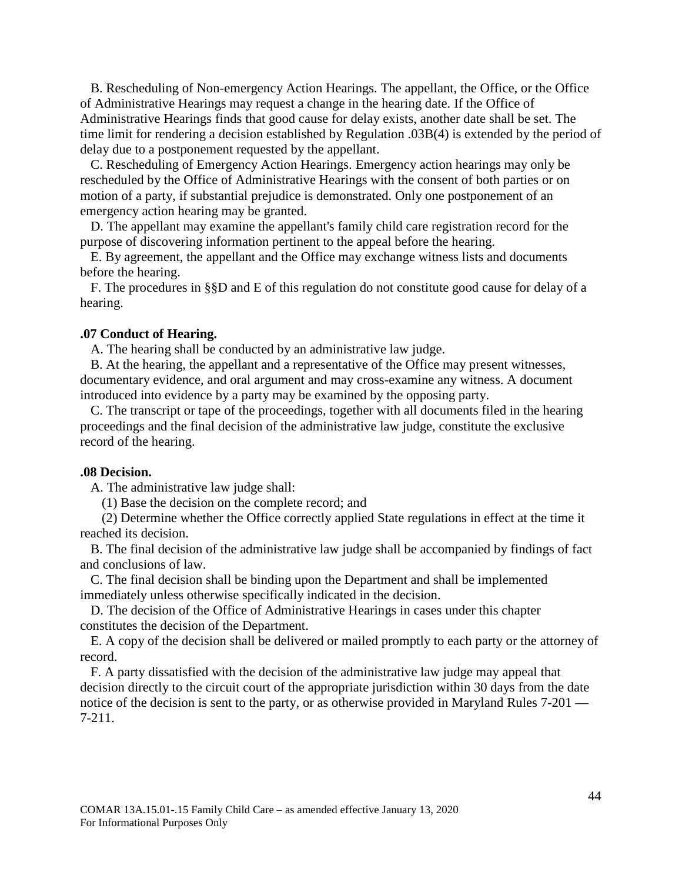B. Rescheduling of Non-emergency Action Hearings. The appellant, the Office, or the Office of Administrative Hearings may request a change in the hearing date. If the Office of Administrative Hearings finds that good cause for delay exists, another date shall be set. The time limit for rendering a decision established by Regulation .03B(4) is extended by the period of delay due to a postponement requested by the appellant.

C. Rescheduling of Emergency Action Hearings. Emergency action hearings may only be rescheduled by the Office of Administrative Hearings with the consent of both parties or on motion of a party, if substantial prejudice is demonstrated. Only one postponement of an emergency action hearing may be granted.

D. The appellant may examine the appellant's family child care registration record for the purpose of discovering information pertinent to the appeal before the hearing.

E. By agreement, the appellant and the Office may exchange witness lists and documents before the hearing.

F. The procedures in §§D and E of this regulation do not constitute good cause for delay of a hearing.

#### <span id="page-43-0"></span>**.07 Conduct of Hearing.**

A. The hearing shall be conducted by an administrative law judge.

B. At the hearing, the appellant and a representative of the Office may present witnesses, documentary evidence, and oral argument and may cross-examine any witness. A document introduced into evidence by a party may be examined by the opposing party.

C. The transcript or tape of the proceedings, together with all documents filed in the hearing proceedings and the final decision of the administrative law judge, constitute the exclusive record of the hearing.

#### <span id="page-43-1"></span>**.08 Decision.**

A. The administrative law judge shall:

(1) Base the decision on the complete record; and

(2) Determine whether the Office correctly applied State regulations in effect at the time it reached its decision.

B. The final decision of the administrative law judge shall be accompanied by findings of fact and conclusions of law.

C. The final decision shall be binding upon the Department and shall be implemented immediately unless otherwise specifically indicated in the decision.

D. The decision of the Office of Administrative Hearings in cases under this chapter constitutes the decision of the Department.

E. A copy of the decision shall be delivered or mailed promptly to each party or the attorney of record.

F. A party dissatisfied with the decision of the administrative law judge may appeal that decision directly to the circuit court of the appropriate jurisdiction within 30 days from the date notice of the decision is sent to the party, or as otherwise provided in Maryland Rules 7-201 — 7-211.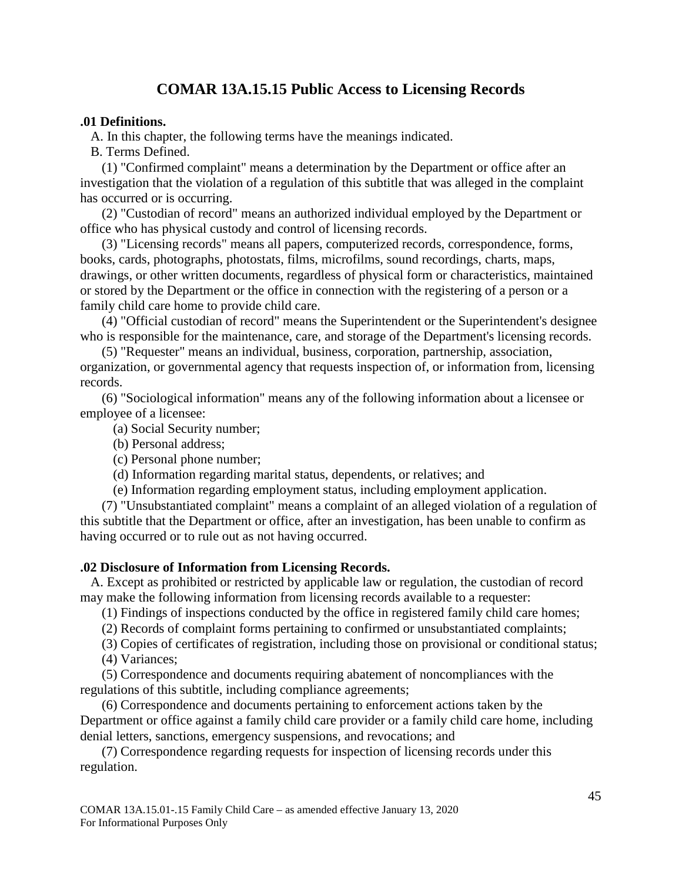## **COMAR 13A.15.15 Public Access to Licensing Records**

#### <span id="page-44-1"></span><span id="page-44-0"></span>**.01 Definitions.**

A. In this chapter, the following terms have the meanings indicated.

B. Terms Defined.

(1) "Confirmed complaint" means a determination by the Department or office after an investigation that the violation of a regulation of this subtitle that was alleged in the complaint has occurred or is occurring.

(2) "Custodian of record" means an authorized individual employed by the Department or office who has physical custody and control of licensing records.

(3) "Licensing records" means all papers, computerized records, correspondence, forms, books, cards, photographs, photostats, films, microfilms, sound recordings, charts, maps, drawings, or other written documents, regardless of physical form or characteristics, maintained or stored by the Department or the office in connection with the registering of a person or a family child care home to provide child care.

(4) "Official custodian of record" means the Superintendent or the Superintendent's designee who is responsible for the maintenance, care, and storage of the Department's licensing records.

(5) "Requester" means an individual, business, corporation, partnership, association, organization, or governmental agency that requests inspection of, or information from, licensing records.

(6) "Sociological information" means any of the following information about a licensee or employee of a licensee:

(a) Social Security number;

- (b) Personal address;
- (c) Personal phone number;
- (d) Information regarding marital status, dependents, or relatives; and
- (e) Information regarding employment status, including employment application.

(7) "Unsubstantiated complaint" means a complaint of an alleged violation of a regulation of this subtitle that the Department or office, after an investigation, has been unable to confirm as having occurred or to rule out as not having occurred.

#### <span id="page-44-2"></span>**.02 Disclosure of Information from Licensing Records.**

A. Except as prohibited or restricted by applicable law or regulation, the custodian of record may make the following information from licensing records available to a requester:

(1) Findings of inspections conducted by the office in registered family child care homes;

(2) Records of complaint forms pertaining to confirmed or unsubstantiated complaints;

(3) Copies of certificates of registration, including those on provisional or conditional status;

(4) Variances;

(5) Correspondence and documents requiring abatement of noncompliances with the regulations of this subtitle, including compliance agreements;

(6) Correspondence and documents pertaining to enforcement actions taken by the Department or office against a family child care provider or a family child care home, including denial letters, sanctions, emergency suspensions, and revocations; and

(7) Correspondence regarding requests for inspection of licensing records under this regulation.